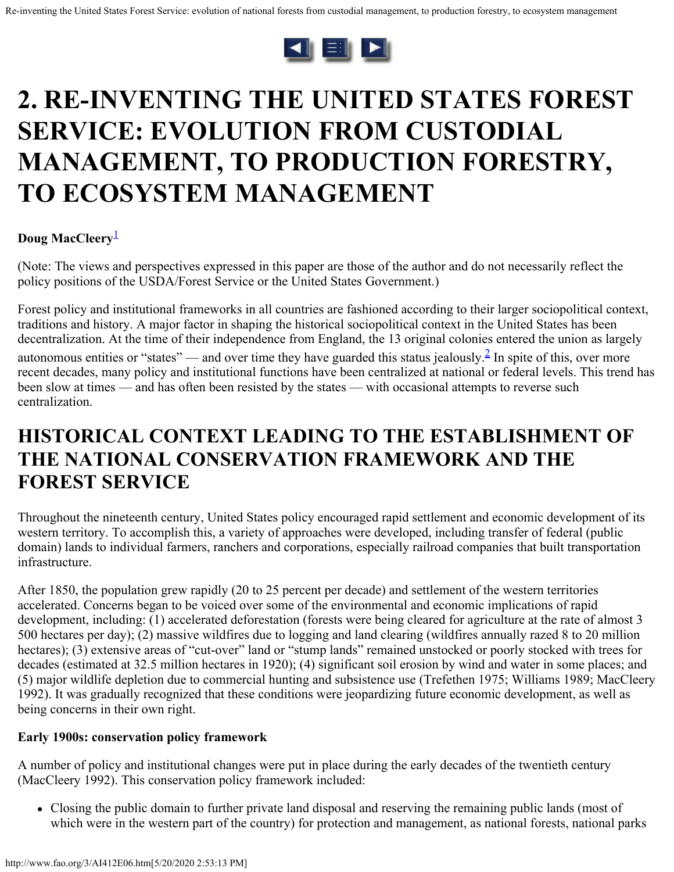

# <span id="page-0-0"></span>**2. RE-INVENTING THE UNITED STATES FOREST SERVICE: EVOLUTION FROM CUSTODIAL MANAGEMENT, TO PRODUCTION FORESTRY, TO ECOSYSTEM MANAGEMENT**

### **Doug MacCleery**<sup>[1](#page-27-0)</sup>

(Note: The views and perspectives expressed in this paper are those of the author and do not necessarily reflect the policy positions of the USDA/Forest Service or the United States Government.)

Forest policy and institutional frameworks in all countries are fashioned according to their larger sociopolitical context, traditions and history. A major factor in shaping the historical sociopolitical context in the United States has been decentralization. At the time of their independence from England, the 13 original colonies entered the union as largely autonomous entities or "states" — and over time they have guarded this status jealously.<sup>2</sup> In spite of this, over more recent decades, many policy and institutional functions have been centralized at national or federal levels. This trend has been slow at times — and has often been resisted by the states — with occasional attempts to reverse such centralization.

### **HISTORICAL CONTEXT LEADING TO THE ESTABLISHMENT OF THE NATIONAL CONSERVATION FRAMEWORK AND THE FOREST SERVICE**

Throughout the nineteenth century, United States policy encouraged rapid settlement and economic development of its western territory. To accomplish this, a variety of approaches were developed, including transfer of federal (public domain) lands to individual farmers, ranchers and corporations, especially railroad companies that built transportation infrastructure.

After 1850, the population grew rapidly (20 to 25 percent per decade) and settlement of the western territories accelerated. Concerns began to be voiced over some of the environmental and economic implications of rapid development, including: (1) accelerated deforestation (forests were being cleared for agriculture at the rate of almost 3 500 hectares per day); (2) massive wildfires due to logging and land clearing (wildfires annually razed 8 to 20 million hectares); (3) extensive areas of "cut-over" land or "stump lands" remained unstocked or poorly stocked with trees for decades (estimated at 32.5 million hectares in 1920); (4) significant soil erosion by wind and water in some places; and (5) major wildlife depletion due to commercial hunting and subsistence use (Trefethen 1975; Williams 1989; MacCleery 1992). It was gradually recognized that these conditions were jeopardizing future economic development, as well as being concerns in their own right.

#### **Early 1900s: conservation policy framework**

A number of policy and institutional changes were put in place during the early decades of the twentieth century (MacCleery 1992). This conservation policy framework included:

Closing the public domain to further private land disposal and reserving the remaining public lands (most of which were in the western part of the country) for protection and management, as national forests, national parks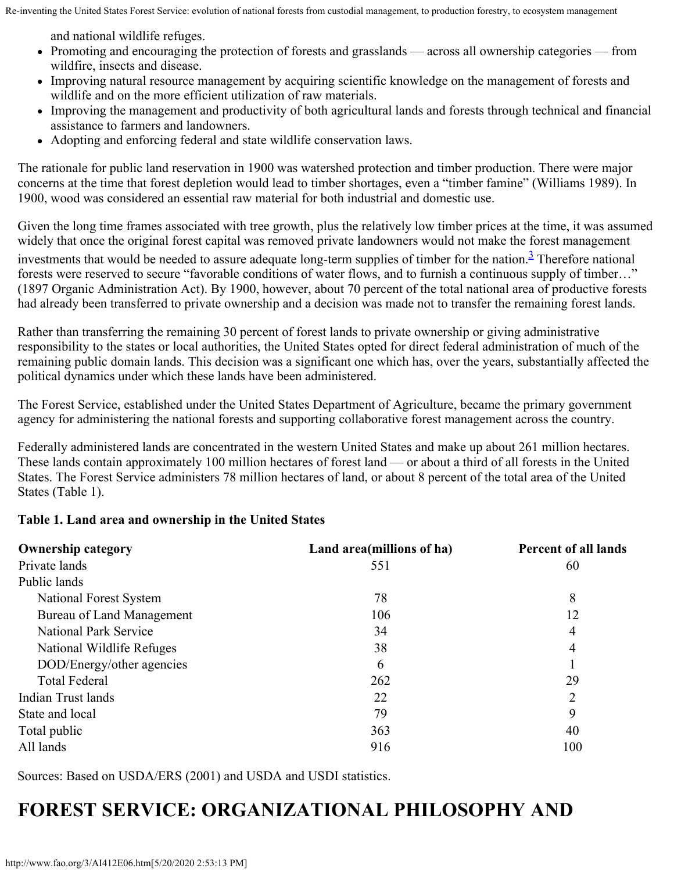and national wildlife refuges.

- Promoting and encouraging the protection of forests and grasslands across all ownership categories from wildfire, insects and disease.
- Improving natural resource management by acquiring scientific knowledge on the management of forests and wildlife and on the more efficient utilization of raw materials.
- Improving the management and productivity of both agricultural lands and forests through technical and financial assistance to farmers and landowners.
- Adopting and enforcing federal and state wildlife conservation laws.

The rationale for public land reservation in 1900 was watershed protection and timber production. There were major concerns at the time that forest depletion would lead to timber shortages, even a "timber famine" (Williams 1989). In 1900, wood was considered an essential raw material for both industrial and domestic use.

Given the long time frames associated with tree growth, plus the relatively low timber prices at the time, it was assumed widely that once the original forest capital was removed private landowners would not make the forest management investments that would be needed to assure adequate long-term supplies of timber for the nation.<sup>3</sup> Therefore national forests were reserved to secure "favorable conditions of water flows, and to furnish a continuous supply of timber…" (1897 Organic Administration Act). By 1900, however, about 70 percent of the total national area of productive forests had already been transferred to private ownership and a decision was made not to transfer the remaining forest lands.

Rather than transferring the remaining 30 percent of forest lands to private ownership or giving administrative responsibility to the states or local authorities, the United States opted for direct federal administration of much of the remaining public domain lands. This decision was a significant one which has, over the years, substantially affected the political dynamics under which these lands have been administered.

The Forest Service, established under the United States Department of Agriculture, became the primary government agency for administering the national forests and supporting collaborative forest management across the country.

Federally administered lands are concentrated in the western United States and make up about 261 million hectares. These lands contain approximately 100 million hectares of forest land — or about a third of all forests in the United States. The Forest Service administers 78 million hectares of land, or about 8 percent of the total area of the United States (Table 1).

#### **Table 1. Land area and ownership in the United States**

| <b>Ownership category</b>        | Land area (millions of ha) | <b>Percent of all lands</b> |
|----------------------------------|----------------------------|-----------------------------|
| Private lands                    | 551                        | 60                          |
| Public lands                     |                            |                             |
| National Forest System           | 78                         | 8                           |
| <b>Bureau of Land Management</b> | 106                        | 12                          |
| <b>National Park Service</b>     | 34                         | 4                           |
| National Wildlife Refuges        | 38                         | 4                           |
| DOD/Energy/other agencies        | 6                          |                             |
| <b>Total Federal</b>             | 262                        | 29                          |
| Indian Trust lands               | 22                         | 2                           |
| State and local                  | 79                         | 9                           |
| Total public                     | 363                        | 40                          |
| All lands                        | 916                        | 100                         |

Sources: Based on USDA/ERS (2001) and USDA and USDI statistics.

# **FOREST SERVICE: ORGANIZATIONAL PHILOSOPHY AND**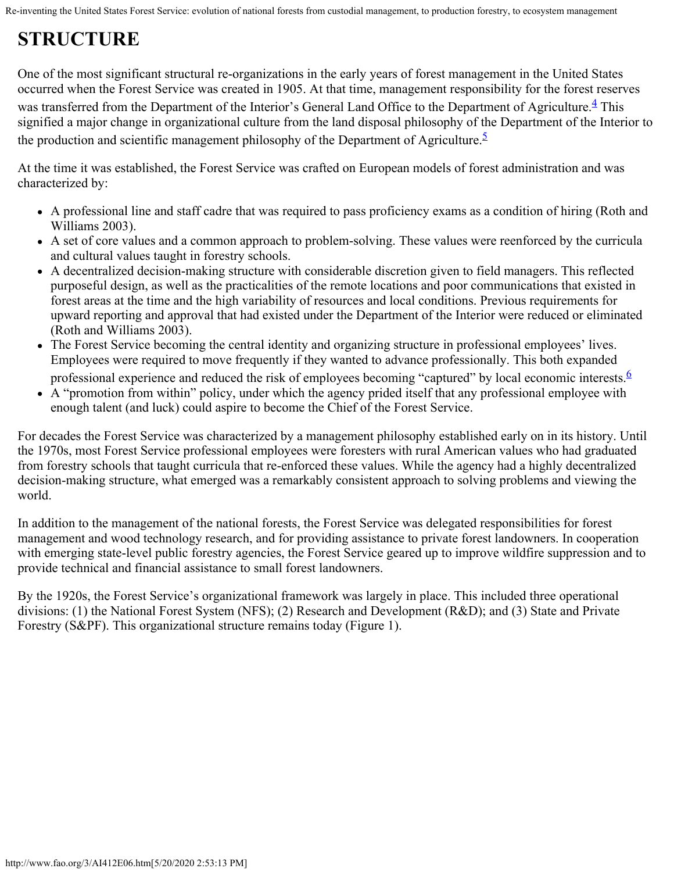# **STRUCTURE**

One of the most significant structural re-organizations in the early years of forest management in the United States occurred when the Forest Service was created in 1905. At that time, management responsibility for the forest reserves was transferred from the Department of the Interior's General Land Office to the Department of Agriculture.<sup>4</sup> This signified a major change in organizational culture from the land disposal philosophy of the Department of the Interior to the production and scientific management philosophy of the Department of Agriculture.<sup>5</sup>

At the time it was established, the Forest Service was crafted on European models of forest administration and was characterized by:

- A professional line and staff cadre that was required to pass proficiency exams as a condition of hiring (Roth and Williams 2003).
- A set of core values and a common approach to problem-solving. These values were reenforced by the curricula and cultural values taught in forestry schools.
- A decentralized decision-making structure with considerable discretion given to field managers. This reflected purposeful design, as well as the practicalities of the remote locations and poor communications that existed in forest areas at the time and the high variability of resources and local conditions. Previous requirements for upward reporting and approval that had existed under the Department of the Interior were reduced or eliminated (Roth and Williams 2003).
- The Forest Service becoming the central identity and organizing structure in professional employees' lives. Employees were required to move frequently if they wanted to advance professionally. This both expanded
- professional experience and reduced the risk of employees becoming "captured" by local economic interests. $6$
- A "promotion from within" policy, under which the agency prided itself that any professional employee with enough talent (and luck) could aspire to become the Chief of the Forest Service.

For decades the Forest Service was characterized by a management philosophy established early on in its history. Until the 1970s, most Forest Service professional employees were foresters with rural American values who had graduated from forestry schools that taught curricula that re-enforced these values. While the agency had a highly decentralized decision-making structure, what emerged was a remarkably consistent approach to solving problems and viewing the world.

In addition to the management of the national forests, the Forest Service was delegated responsibilities for forest management and wood technology research, and for providing assistance to private forest landowners. In cooperation with emerging state-level public forestry agencies, the Forest Service geared up to improve wildfire suppression and to provide technical and financial assistance to small forest landowners.

By the 1920s, the Forest Service's organizational framework was largely in place. This included three operational divisions: (1) the National Forest System (NFS); (2) Research and Development (R&D); and (3) State and Private Forestry (S&PF). This organizational structure remains today (Figure 1).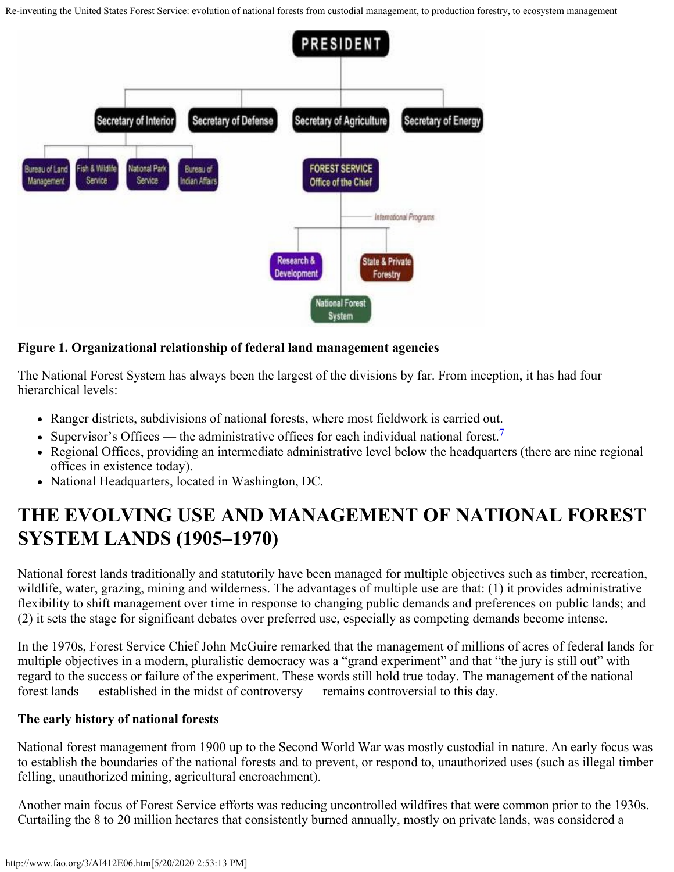

#### **Figure 1. Organizational relationship of federal land management agencies**

The National Forest System has always been the largest of the divisions by far. From inception, it has had four hierarchical levels:

- Ranger districts, subdivisions of national forests, where most fieldwork is carried out.
- Supervisor's Offices the administrative offices for each individual national forest.
- Regional Offices, providing an intermediate administrative level below the headquarters (there are nine regional offices in existence today).
- National Headquarters, located in Washington, DC.

### **THE EVOLVING USE AND MANAGEMENT OF NATIONAL FOREST SYSTEM LANDS (1905–1970)**

National forest lands traditionally and statutorily have been managed for multiple objectives such as timber, recreation, wildlife, water, grazing, mining and wilderness. The advantages of multiple use are that: (1) it provides administrative flexibility to shift management over time in response to changing public demands and preferences on public lands; and (2) it sets the stage for significant debates over preferred use, especially as competing demands become intense.

In the 1970s, Forest Service Chief John McGuire remarked that the management of millions of acres of federal lands for multiple objectives in a modern, pluralistic democracy was a "grand experiment" and that "the jury is still out" with regard to the success or failure of the experiment. These words still hold true today. The management of the national forest lands — established in the midst of controversy — remains controversial to this day.

#### **The early history of national forests**

National forest management from 1900 up to the Second World War was mostly custodial in nature. An early focus was to establish the boundaries of the national forests and to prevent, or respond to, unauthorized uses (such as illegal timber felling, unauthorized mining, agricultural encroachment).

Another main focus of Forest Service efforts was reducing uncontrolled wildfires that were common prior to the 1930s. Curtailing the 8 to 20 million hectares that consistently burned annually, mostly on private lands, was considered a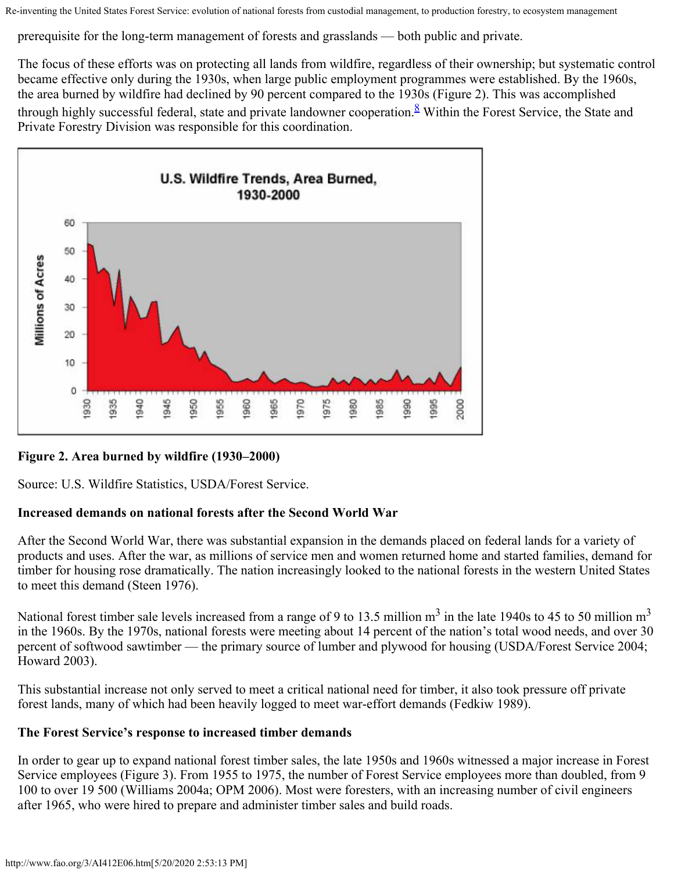prerequisite for the long-term management of forests and grasslands — both public and private.

The focus of these efforts was on protecting all lands from wildfire, regardless of their ownership; but systematic control became effective only during the 1930s, when large public employment programmes were established. By the 1960s, the area burned by wildfire had declined by 90 percent compared to the 1930s (Figure 2). This was accomplished through highly successful federal, state and private landowner cooperation.<sup>8</sup> Within the Forest Service, the State and Private Forestry Division was responsible for this coordination.



### **Figure 2. Area burned by wildfire (1930–2000)**

Source: U.S. Wildfire Statistics, USDA/Forest Service.

#### **Increased demands on national forests after the Second World War**

After the Second World War, there was substantial expansion in the demands placed on federal lands for a variety of products and uses. After the war, as millions of service men and women returned home and started families, demand for timber for housing rose dramatically. The nation increasingly looked to the national forests in the western United States to meet this demand (Steen 1976).

National forest timber sale levels increased from a range of 9 to 13.5 million  $m^3$  in the late 1940s to 45 to 50 million  $m^3$ in the 1960s. By the 1970s, national forests were meeting about 14 percent of the nation's total wood needs, and over 30 percent of softwood sawtimber — the primary source of lumber and plywood for housing (USDA/Forest Service 2004; Howard 2003).

This substantial increase not only served to meet a critical national need for timber, it also took pressure off private forest lands, many of which had been heavily logged to meet war-effort demands (Fedkiw 1989).

#### **The Forest Service's response to increased timber demands**

In order to gear up to expand national forest timber sales, the late 1950s and 1960s witnessed a major increase in Forest Service employees (Figure 3). From 1955 to 1975, the number of Forest Service employees more than doubled, from 9 100 to over 19 500 (Williams 2004a; OPM 2006). Most were foresters, with an increasing number of civil engineers after 1965, who were hired to prepare and administer timber sales and build roads.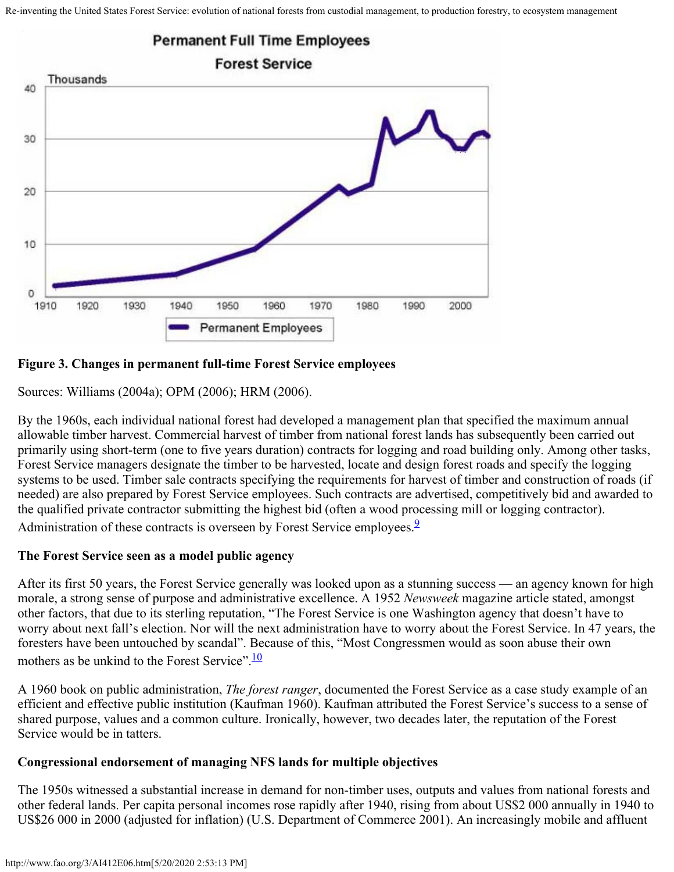

#### **Figure 3. Changes in permanent full-time Forest Service employees**

Sources: Williams (2004a); OPM (2006); HRM (2006).

By the 1960s, each individual national forest had developed a management plan that specified the maximum annual allowable timber harvest. Commercial harvest of timber from national forest lands has subsequently been carried out primarily using short-term (one to five years duration) contracts for logging and road building only. Among other tasks, Forest Service managers designate the timber to be harvested, locate and design forest roads and specify the logging systems to be used. Timber sale contracts specifying the requirements for harvest of timber and construction of roads (if needed) are also prepared by Forest Service employees. Such contracts are advertised, competitively bid and awarded to the qualified private contractor submitting the highest bid (often a wood processing mill or logging contractor). Administration of these contracts is overseen by Forest Service employees.<sup>2</sup>

#### **The Forest Service seen as a model public agency**

After its first 50 years, the Forest Service generally was looked upon as a stunning success — an agency known for high morale, a strong sense of purpose and administrative excellence. A 1952 *Newsweek* magazine article stated, amongst other factors, that due to its sterling reputation, "The Forest Service is one Washington agency that doesn't have to worry about next fall's election. Nor will the next administration have to worry about the Forest Service. In 47 years, the foresters have been untouched by scandal". Because of this, "Most Congressmen would as soon abuse their own mothers as be unkind to the Forest Service".<sup>10</sup>

A 1960 book on public administration, *The forest ranger*, documented the Forest Service as a case study example of an efficient and effective public institution (Kaufman 1960). Kaufman attributed the Forest Service's success to a sense of shared purpose, values and a common culture. Ironically, however, two decades later, the reputation of the Forest Service would be in tatters.

#### **Congressional endorsement of managing NFS lands for multiple objectives**

The 1950s witnessed a substantial increase in demand for non-timber uses, outputs and values from national forests and other federal lands. Per capita personal incomes rose rapidly after 1940, rising from about US\$2 000 annually in 1940 to US\$26 000 in 2000 (adjusted for inflation) (U.S. Department of Commerce 2001). An increasingly mobile and affluent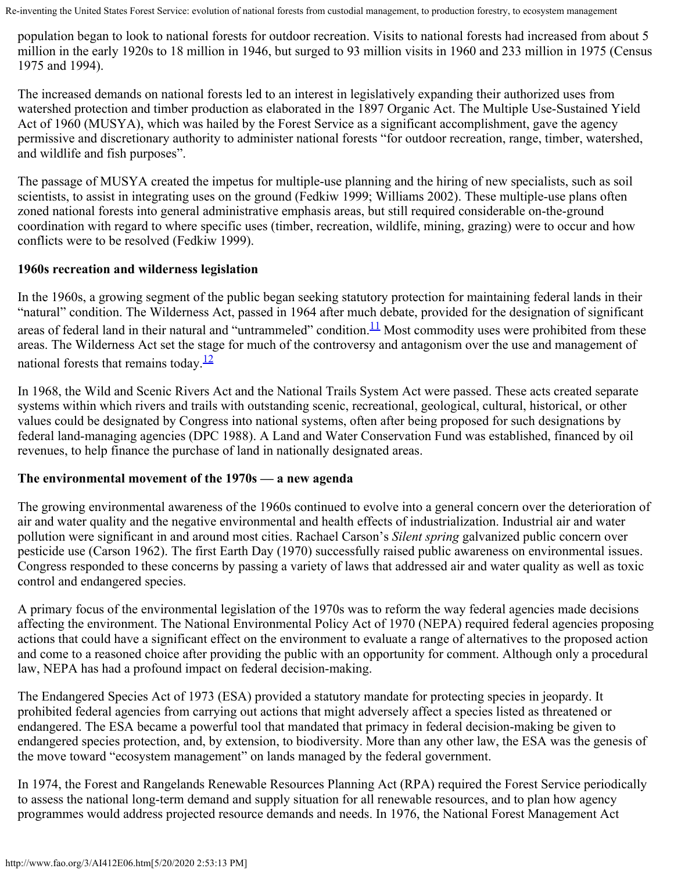population began to look to national forests for outdoor recreation. Visits to national forests had increased from about 5 million in the early 1920s to 18 million in 1946, but surged to 93 million visits in 1960 and 233 million in 1975 (Census 1975 and 1994).

The increased demands on national forests led to an interest in legislatively expanding their authorized uses from watershed protection and timber production as elaborated in the 1897 Organic Act. The Multiple Use-Sustained Yield Act of 1960 (MUSYA), which was hailed by the Forest Service as a significant accomplishment, gave the agency permissive and discretionary authority to administer national forests "for outdoor recreation, range, timber, watershed, and wildlife and fish purposes".

The passage of MUSYA created the impetus for multiple-use planning and the hiring of new specialists, such as soil scientists, to assist in integrating uses on the ground (Fedkiw 1999; Williams 2002). These multiple-use plans often zoned national forests into general administrative emphasis areas, but still required considerable on-the-ground coordination with regard to where specific uses (timber, recreation, wildlife, mining, grazing) were to occur and how conflicts were to be resolved (Fedkiw 1999).

### **1960s recreation and wilderness legislation**

In the 1960s, a growing segment of the public began seeking statutory protection for maintaining federal lands in their "natural" condition. The Wilderness Act, passed in 1964 after much debate, provided for the designation of significant areas of federal land in their natural and "untrammeled" condition. $11$  Most commodity uses were prohibited from these areas. The Wilderness Act set the stage for much of the controversy and antagonism over the use and management of national forests that remains today. $\frac{12}{2}$ 

In 1968, the Wild and Scenic Rivers Act and the National Trails System Act were passed. These acts created separate systems within which rivers and trails with outstanding scenic, recreational, geological, cultural, historical, or other values could be designated by Congress into national systems, often after being proposed for such designations by federal land-managing agencies (DPC 1988). A Land and Water Conservation Fund was established, financed by oil revenues, to help finance the purchase of land in nationally designated areas.

### **The environmental movement of the 1970s — a new agenda**

The growing environmental awareness of the 1960s continued to evolve into a general concern over the deterioration of air and water quality and the negative environmental and health effects of industrialization. Industrial air and water pollution were significant in and around most cities. Rachael Carson's *Silent spring* galvanized public concern over pesticide use (Carson 1962). The first Earth Day (1970) successfully raised public awareness on environmental issues. Congress responded to these concerns by passing a variety of laws that addressed air and water quality as well as toxic control and endangered species.

A primary focus of the environmental legislation of the 1970s was to reform the way federal agencies made decisions affecting the environment. The National Environmental Policy Act of 1970 (NEPA) required federal agencies proposing actions that could have a significant effect on the environment to evaluate a range of alternatives to the proposed action and come to a reasoned choice after providing the public with an opportunity for comment. Although only a procedural law, NEPA has had a profound impact on federal decision-making.

The Endangered Species Act of 1973 (ESA) provided a statutory mandate for protecting species in jeopardy. It prohibited federal agencies from carrying out actions that might adversely affect a species listed as threatened or endangered. The ESA became a powerful tool that mandated that primacy in federal decision-making be given to endangered species protection, and, by extension, to biodiversity. More than any other law, the ESA was the genesis of the move toward "ecosystem management" on lands managed by the federal government.

In 1974, the Forest and Rangelands Renewable Resources Planning Act (RPA) required the Forest Service periodically to assess the national long-term demand and supply situation for all renewable resources, and to plan how agency programmes would address projected resource demands and needs. In 1976, the National Forest Management Act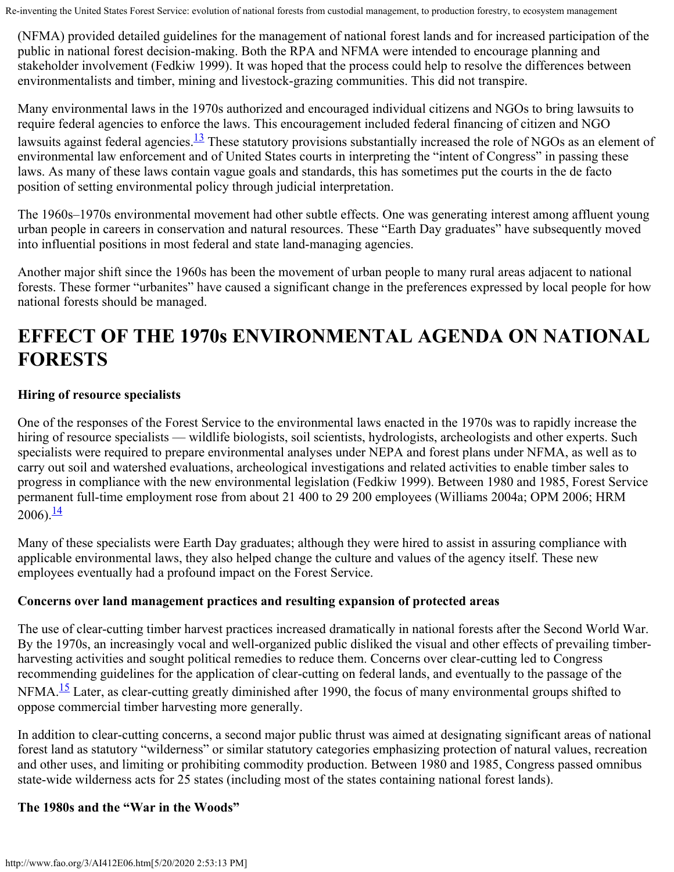(NFMA) provided detailed guidelines for the management of national forest lands and for increased participation of the public in national forest decision-making. Both the RPA and NFMA were intended to encourage planning and stakeholder involvement (Fedkiw 1999). It was hoped that the process could help to resolve the differences between environmentalists and timber, mining and livestock-grazing communities. This did not transpire.

Many environmental laws in the 1970s authorized and encouraged individual citizens and NGOs to bring lawsuits to require federal agencies to enforce the laws. This encouragement included federal financing of citizen and NGO lawsuits against federal agencies.<sup>13</sup> These statutory provisions substantially increased the role of NGOs as an element of environmental law enforcement and of United States courts in interpreting the "intent of Congress" in passing these laws. As many of these laws contain vague goals and standards, this has sometimes put the courts in the de facto position of setting environmental policy through judicial interpretation.

The 1960s–1970s environmental movement had other subtle effects. One was generating interest among affluent young urban people in careers in conservation and natural resources. These "Earth Day graduates" have subsequently moved into influential positions in most federal and state land-managing agencies.

Another major shift since the 1960s has been the movement of urban people to many rural areas adjacent to national forests. These former "urbanites" have caused a significant change in the preferences expressed by local people for how national forests should be managed.

### **EFFECT OF THE 1970s ENVIRONMENTAL AGENDA ON NATIONAL FORESTS**

### **Hiring of resource specialists**

One of the responses of the Forest Service to the environmental laws enacted in the 1970s was to rapidly increase the hiring of resource specialists — wildlife biologists, soil scientists, hydrologists, archeologists and other experts. Such specialists were required to prepare environmental analyses under NEPA and forest plans under NFMA, as well as to carry out soil and watershed evaluations, archeological investigations and related activities to enable timber sales to progress in compliance with the new environmental legislation (Fedkiw 1999). Between 1980 and 1985, Forest Service permanent full-time employment rose from about 21 400 to 29 200 employees (Williams 2004a; OPM 2006; HRM  $2006$ ). $\frac{14}{1}$  $\frac{14}{1}$  $\frac{14}{1}$ 

Many of these specialists were Earth Day graduates; although they were hired to assist in assuring compliance with applicable environmental laws, they also helped change the culture and values of the agency itself. These new employees eventually had a profound impact on the Forest Service.

#### **Concerns over land management practices and resulting expansion of protected areas**

The use of clear-cutting timber harvest practices increased dramatically in national forests after the Second World War. By the 1970s, an increasingly vocal and well-organized public disliked the visual and other effects of prevailing timberharvesting activities and sought political remedies to reduce them. Concerns over clear-cutting led to Congress recommending guidelines for the application of clear-cutting on federal lands, and eventually to the passage of the NFMA.<sup>15</sup> Later, as clear-cutting greatly diminished after 1990, the focus of many environmental groups shifted to oppose commercial timber harvesting more generally.

In addition to clear-cutting concerns, a second major public thrust was aimed at designating significant areas of national forest land as statutory "wilderness" or similar statutory categories emphasizing protection of natural values, recreation and other uses, and limiting or prohibiting commodity production. Between 1980 and 1985, Congress passed omnibus state-wide wilderness acts for 25 states (including most of the states containing national forest lands).

#### **The 1980s and the "War in the Woods"**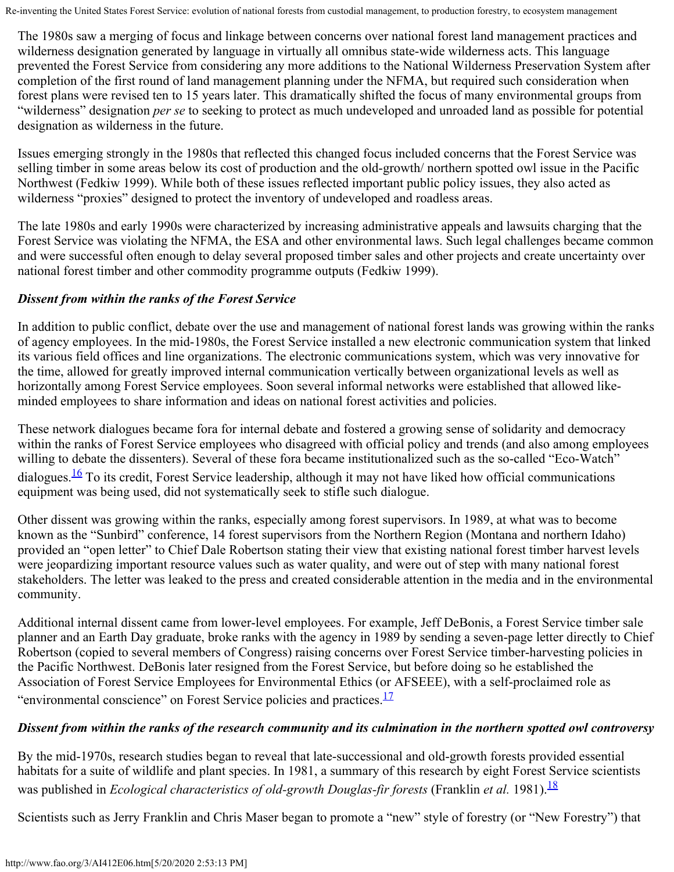The 1980s saw a merging of focus and linkage between concerns over national forest land management practices and wilderness designation generated by language in virtually all omnibus state-wide wilderness acts. This language prevented the Forest Service from considering any more additions to the National Wilderness Preservation System after completion of the first round of land management planning under the NFMA, but required such consideration when forest plans were revised ten to 15 years later. This dramatically shifted the focus of many environmental groups from "wilderness" designation *per se* to seeking to protect as much undeveloped and unroaded land as possible for potential designation as wilderness in the future.

Issues emerging strongly in the 1980s that reflected this changed focus included concerns that the Forest Service was selling timber in some areas below its cost of production and the old-growth/ northern spotted owl issue in the Pacific Northwest (Fedkiw 1999). While both of these issues reflected important public policy issues, they also acted as wilderness "proxies" designed to protect the inventory of undeveloped and roadless areas.

The late 1980s and early 1990s were characterized by increasing administrative appeals and lawsuits charging that the Forest Service was violating the NFMA, the ESA and other environmental laws. Such legal challenges became common and were successful often enough to delay several proposed timber sales and other projects and create uncertainty over national forest timber and other commodity programme outputs (Fedkiw 1999).

### *Dissent from within the ranks of the Forest Service*

In addition to public conflict, debate over the use and management of national forest lands was growing within the ranks of agency employees. In the mid-1980s, the Forest Service installed a new electronic communication system that linked its various field offices and line organizations. The electronic communications system, which was very innovative for the time, allowed for greatly improved internal communication vertically between organizational levels as well as horizontally among Forest Service employees. Soon several informal networks were established that allowed likeminded employees to share information and ideas on national forest activities and policies.

These network dialogues became fora for internal debate and fostered a growing sense of solidarity and democracy within the ranks of Forest Service employees who disagreed with official policy and trends (and also among employees willing to debate the dissenters). Several of these fora became institutionalized such as the so-called "Eco-Watch" dialogues.<sup>16</sup> To its credit, Forest Service leadership, although it may not have liked how official communications equipment was being used, did not systematically seek to stifle such dialogue.

Other dissent was growing within the ranks, especially among forest supervisors. In 1989, at what was to become known as the "Sunbird" conference, 14 forest supervisors from the Northern Region (Montana and northern Idaho) provided an "open letter" to Chief Dale Robertson stating their view that existing national forest timber harvest levels were jeopardizing important resource values such as water quality, and were out of step with many national forest stakeholders. The letter was leaked to the press and created considerable attention in the media and in the environmental community.

Additional internal dissent came from lower-level employees. For example, Jeff DeBonis, a Forest Service timber sale planner and an Earth Day graduate, broke ranks with the agency in 1989 by sending a seven-page letter directly to Chief Robertson (copied to several members of Congress) raising concerns over Forest Service timber-harvesting policies in the Pacific Northwest. DeBonis later resigned from the Forest Service, but before doing so he established the Association of Forest Service Employees for Environmental Ethics (or AFSEEE), with a self-proclaimed role as "environmental conscience" on Forest Service policies and practices.<sup>[17](#page-28-2)</sup>

### *Dissent from within the ranks of the research community and its culmination in the northern spotted owl controversy*

By the mid-1970s, research studies began to reveal that late-successional and old-growth forests provided essential habitats for a suite of wildlife and plant species. In 1981, a summary of this research by eight Forest Service scientists was published in *Ecological characteristics of old-growth Douglas-fir forests* (Franklin *et al.* 1981). <sup>18</sup>

Scientists such as Jerry Franklin and Chris Maser began to promote a "new" style of forestry (or "New Forestry") that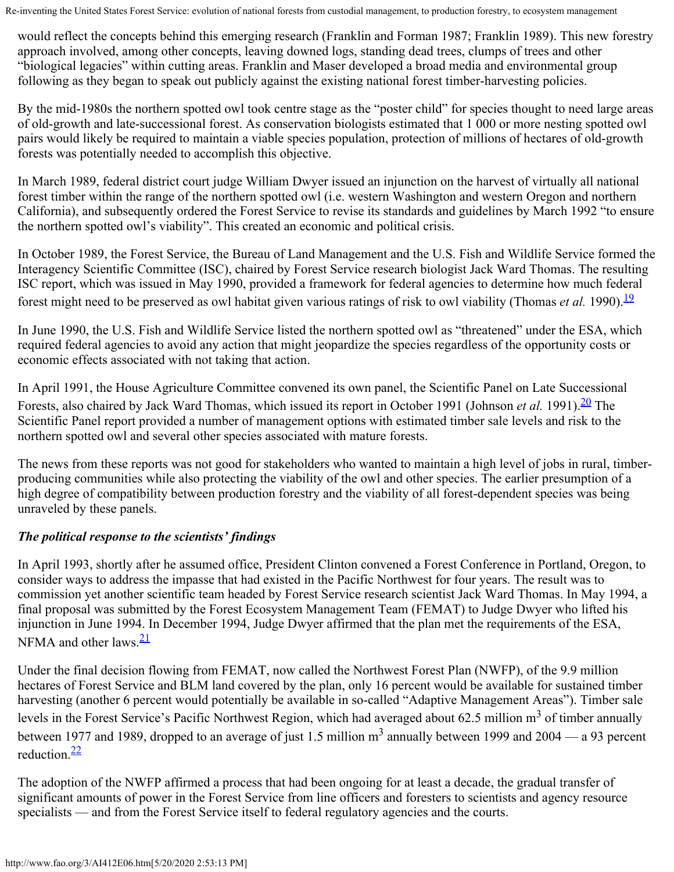would reflect the concepts behind this emerging research (Franklin and Forman 1987; Franklin 1989). This new forestry approach involved, among other concepts, leaving downed logs, standing dead trees, clumps of trees and other "biological legacies" within cutting areas. Franklin and Maser developed a broad media and environmental group following as they began to speak out publicly against the existing national forest timber-harvesting policies.

By the mid-1980s the northern spotted owl took centre stage as the "poster child" for species thought to need large areas of old-growth and late-successional forest. As conservation biologists estimated that 1 000 or more nesting spotted owl pairs would likely be required to maintain a viable species population, protection of millions of hectares of old-growth forests was potentially needed to accomplish this objective.

In March 1989, federal district court judge William Dwyer issued an injunction on the harvest of virtually all national forest timber within the range of the northern spotted owl (i.e. western Washington and western Oregon and northern California), and subsequently ordered the Forest Service to revise its standards and guidelines by March 1992 "to ensure the northern spotted owl's viability". This created an economic and political crisis.

In October 1989, the Forest Service, the Bureau of Land Management and the U.S. Fish and Wildlife Service formed the Interagency Scientific Committee (ISC), chaired by Forest Service research biologist Jack Ward Thomas. The resulting ISC report, which was issued in May 1990, provided a framework for federal agencies to determine how much federal forest might need to be preserved as owl habitat given various ratings of risk to owl viability (Thomas *et al.* [19](#page-28-4)90).<sup>19</sup>

In June 1990, the U.S. Fish and Wildlife Service listed the northern spotted owl as "threatened" under the ESA, which required federal agencies to avoid any action that might jeopardize the species regardless of the opportunity costs or economic effects associated with not taking that action.

In April 1991, the House Agriculture Committee convened its own panel, the Scientific Panel on Late Successional Forests, also chaired by Jack Ward Thomas, which issued its report in October 1991 (Johnson *et al.* 1991).<sup>20</sup> The Scientific Panel report provided a number of management options with estimated timber sale levels and risk to the northern spotted owl and several other species associated with mature forests.

The news from these reports was not good for stakeholders who wanted to maintain a high level of jobs in rural, timberproducing communities while also protecting the viability of the owl and other species. The earlier presumption of a high degree of compatibility between production forestry and the viability of all forest-dependent species was being unraveled by these panels.

### *The political response to the scientists' findings*

In April 1993, shortly after he assumed office, President Clinton convened a Forest Conference in Portland, Oregon, to consider ways to address the impasse that had existed in the Pacific Northwest for four years. The result was to commission yet another scientific team headed by Forest Service research scientist Jack Ward Thomas. In May 1994, a final proposal was submitted by the Forest Ecosystem Management Team (FEMAT) to Judge Dwyer who lifted his injunction in June 1994. In December 1994, Judge Dwyer affirmed that the plan met the requirements of the ESA, NFMA and other laws. $\frac{21}{2}$  $\frac{21}{2}$  $\frac{21}{2}$ 

Under the final decision flowing from FEMAT, now called the Northwest Forest Plan (NWFP), of the 9.9 million hectares of Forest Service and BLM land covered by the plan, only 16 percent would be available for sustained timber harvesting (another 6 percent would potentially be available in so-called "Adaptive Management Areas"). Timber sale levels in the Forest Service's Pacific Northwest Region, which had averaged about 62.5 million  $m<sup>3</sup>$  of timber annually between 1977 and 1989, dropped to an average of just 1.5 million  $m<sup>3</sup>$  annually between 1999 and 2004 — a 93 percent reduction. $\frac{22}{3}$ 

The adoption of the NWFP affirmed a process that had been ongoing for at least a decade, the gradual transfer of significant amounts of power in the Forest Service from line officers and foresters to scientists and agency resource specialists — and from the Forest Service itself to federal regulatory agencies and the courts.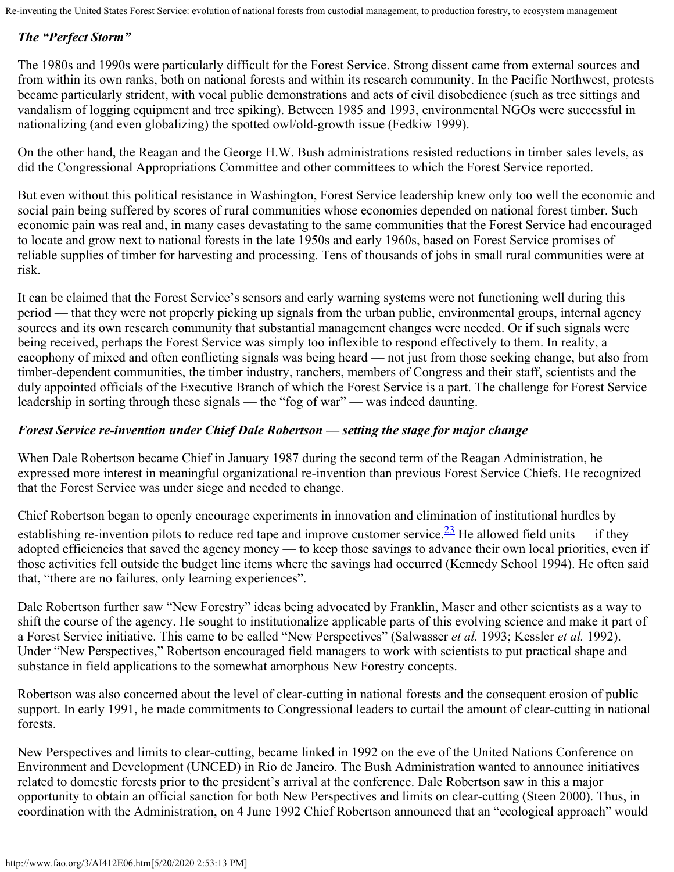### *The "Perfect Storm"*

The 1980s and 1990s were particularly difficult for the Forest Service. Strong dissent came from external sources and from within its own ranks, both on national forests and within its research community. In the Pacific Northwest, protests became particularly strident, with vocal public demonstrations and acts of civil disobedience (such as tree sittings and vandalism of logging equipment and tree spiking). Between 1985 and 1993, environmental NGOs were successful in nationalizing (and even globalizing) the spotted owl/old-growth issue (Fedkiw 1999).

On the other hand, the Reagan and the George H.W. Bush administrations resisted reductions in timber sales levels, as did the Congressional Appropriations Committee and other committees to which the Forest Service reported.

But even without this political resistance in Washington, Forest Service leadership knew only too well the economic and social pain being suffered by scores of rural communities whose economies depended on national forest timber. Such economic pain was real and, in many cases devastating to the same communities that the Forest Service had encouraged to locate and grow next to national forests in the late 1950s and early 1960s, based on Forest Service promises of reliable supplies of timber for harvesting and processing. Tens of thousands of jobs in small rural communities were at risk.

It can be claimed that the Forest Service's sensors and early warning systems were not functioning well during this period — that they were not properly picking up signals from the urban public, environmental groups, internal agency sources and its own research community that substantial management changes were needed. Or if such signals were being received, perhaps the Forest Service was simply too inflexible to respond effectively to them. In reality, a cacophony of mixed and often conflicting signals was being heard — not just from those seeking change, but also from timber-dependent communities, the timber industry, ranchers, members of Congress and their staff, scientists and the duly appointed officials of the Executive Branch of which the Forest Service is a part. The challenge for Forest Service leadership in sorting through these signals — the "fog of war" — was indeed daunting.

### *Forest Service re-invention under Chief Dale Robertson — setting the stage for major change*

When Dale Robertson became Chief in January 1987 during the second term of the Reagan Administration, he expressed more interest in meaningful organizational re-invention than previous Forest Service Chiefs. He recognized that the Forest Service was under siege and needed to change.

Chief Robertson began to openly encourage experiments in innovation and elimination of institutional hurdles by establishing re-invention pilots to reduce red tape and improve customer service.  $\frac{23}{10}$  He allowed field units — if they adopted efficiencies that saved the agency money — to keep those savings to advance their own local priorities, even if those activities fell outside the budget line items where the savings had occurred (Kennedy School 1994). He often said that, "there are no failures, only learning experiences".

Dale Robertson further saw "New Forestry" ideas being advocated by Franklin, Maser and other scientists as a way to shift the course of the agency. He sought to institutionalize applicable parts of this evolving science and make it part of a Forest Service initiative. This came to be called "New Perspectives" (Salwasser *et al.* 1993; Kessler *et al.* 1992). Under "New Perspectives," Robertson encouraged field managers to work with scientists to put practical shape and substance in field applications to the somewhat amorphous New Forestry concepts.

Robertson was also concerned about the level of clear-cutting in national forests and the consequent erosion of public support. In early 1991, he made commitments to Congressional leaders to curtail the amount of clear-cutting in national forests.

New Perspectives and limits to clear-cutting, became linked in 1992 on the eve of the United Nations Conference on Environment and Development (UNCED) in Rio de Janeiro. The Bush Administration wanted to announce initiatives related to domestic forests prior to the president's arrival at the conference. Dale Robertson saw in this a major opportunity to obtain an official sanction for both New Perspectives and limits on clear-cutting (Steen 2000). Thus, in coordination with the Administration, on 4 June 1992 Chief Robertson announced that an "ecological approach" would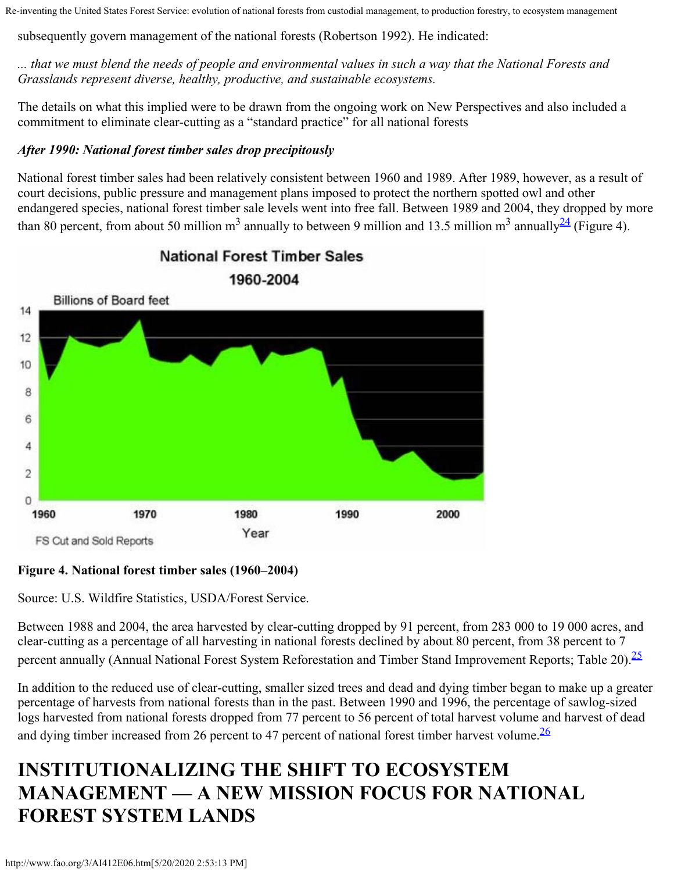subsequently govern management of the national forests (Robertson 1992). He indicated:

*... that we must blend the needs of people and environmental values in such a way that the National Forests and Grasslands represent diverse, healthy, productive, and sustainable ecosystems.*

The details on what this implied were to be drawn from the ongoing work on New Perspectives and also included a commitment to eliminate clear-cutting as a "standard practice" for all national forests

### *After 1990: National forest timber sales drop precipitously*

National forest timber sales had been relatively consistent between 1960 and 1989. After 1989, however, as a result of court decisions, public pressure and management plans imposed to protect the northern spotted owl and other endangered species, national forest timber sale levels went into free fall. Between 1989 and 2004, they dropped by more than 80 percent, from about 50 million m<sup>3</sup> annually to between 9 million and 13.5 million m<sup>3</sup> annually  $\frac{24}{}$  (Figure 4).



**National Forest Timber Sales** 1960-2004

### **Figure 4. National forest timber sales (1960–2004)**

Source: U.S. Wildfire Statistics, USDA/Forest Service.

Between 1988 and 2004, the area harvested by clear-cutting dropped by 91 percent, from 283 000 to 19 000 acres, and clear-cutting as a percentage of all harvesting in national forests declined by about 80 percent, from 38 percent to 7 percent annually (Annual National Forest System Reforestation and Timber Stand Improvement Reports; Table 20).<sup>25</sup>

In addition to the reduced use of clear-cutting, smaller sized trees and dead and dying timber began to make up a greater percentage of harvests from national forests than in the past. Between 1990 and 1996, the percentage of sawlog-sized logs harvested from national forests dropped from 77 percent to 56 percent of total harvest volume and harvest of dead and dying timber increased from 26 percent to 47 percent of national forest timber harvest volume.  $\frac{26}{5}$ 

## **INSTITUTIONALIZING THE SHIFT TO ECOSYSTEM MANAGEMENT — A NEW MISSION FOCUS FOR NATIONAL FOREST SYSTEM LANDS**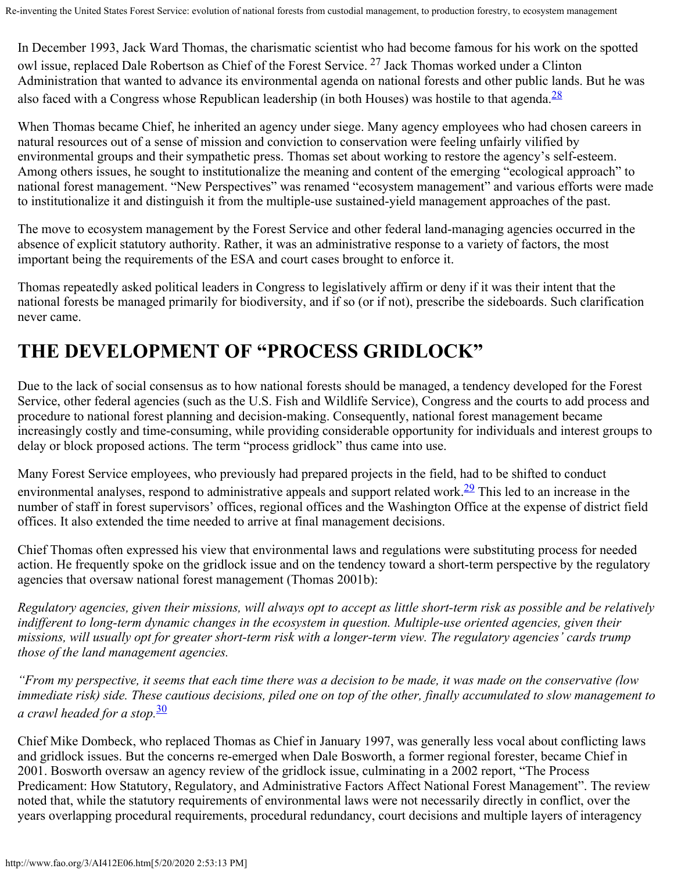In December 1993, Jack Ward Thomas, the charismatic scientist who had become famous for his work on the spotted owl issue, replaced Dale Robertson as Chief of the Forest Service. <sup>27</sup> Jack Thomas worked under a Clinton Administration that wanted to advance its environmental agenda on national forests and other public lands. But he was also faced with a Congress whose Republican leadership (in both Houses) was hostile to that agenda.<sup>28</sup>

When Thomas became Chief, he inherited an agency under siege. Many agency employees who had chosen careers in natural resources out of a sense of mission and conviction to conservation were feeling unfairly vilified by environmental groups and their sympathetic press. Thomas set about working to restore the agency's self-esteem. Among others issues, he sought to institutionalize the meaning and content of the emerging "ecological approach" to national forest management. "New Perspectives" was renamed "ecosystem management" and various efforts were made to institutionalize it and distinguish it from the multiple-use sustained-yield management approaches of the past.

The move to ecosystem management by the Forest Service and other federal land-managing agencies occurred in the absence of explicit statutory authority. Rather, it was an administrative response to a variety of factors, the most important being the requirements of the ESA and court cases brought to enforce it.

Thomas repeatedly asked political leaders in Congress to legislatively affirm or deny if it was their intent that the national forests be managed primarily for biodiversity, and if so (or if not), prescribe the sideboards. Such clarification never came.

## **THE DEVELOPMENT OF "PROCESS GRIDLOCK"**

Due to the lack of social consensus as to how national forests should be managed, a tendency developed for the Forest Service, other federal agencies (such as the U.S. Fish and Wildlife Service), Congress and the courts to add process and procedure to national forest planning and decision-making. Consequently, national forest management became increasingly costly and time-consuming, while providing considerable opportunity for individuals and interest groups to delay or block proposed actions. The term "process gridlock" thus came into use.

Many Forest Service employees, who previously had prepared projects in the field, had to be shifted to conduct environmental analyses, respond to administrative appeals and support related work.<sup>29</sup> This led to an increase in the number of staff in forest supervisors' offices, regional offices and the Washington Office at the expense of district field offices. It also extended the time needed to arrive at final management decisions.

Chief Thomas often expressed his view that environmental laws and regulations were substituting process for needed action. He frequently spoke on the gridlock issue and on the tendency toward a short-term perspective by the regulatory agencies that oversaw national forest management (Thomas 2001b):

*Regulatory agencies, given their missions, will always opt to accept as little short-term risk as possible and be relatively indifferent to long-term dynamic changes in the ecosystem in question. Multiple-use oriented agencies, given their missions, will usually opt for greater short-term risk with a longer-term view. The regulatory agencies' cards trump those of the land management agencies.*

*"From my perspective, it seems that each time there was a decision to be made, it was made on the conservative (low immediate risk) side. These cautious decisions, piled one on top of the other, finally accumulated to slow management to a crawl headed for a stop.*[30](#page-0-0)

Chief Mike Dombeck, who replaced Thomas as Chief in January 1997, was generally less vocal about conflicting laws and gridlock issues. But the concerns re-emerged when Dale Bosworth, a former regional forester, became Chief in 2001. Bosworth oversaw an agency review of the gridlock issue, culminating in a 2002 report, "The Process Predicament: How Statutory, Regulatory, and Administrative Factors Affect National Forest Management". The review noted that, while the statutory requirements of environmental laws were not necessarily directly in conflict, over the years overlapping procedural requirements, procedural redundancy, court decisions and multiple layers of interagency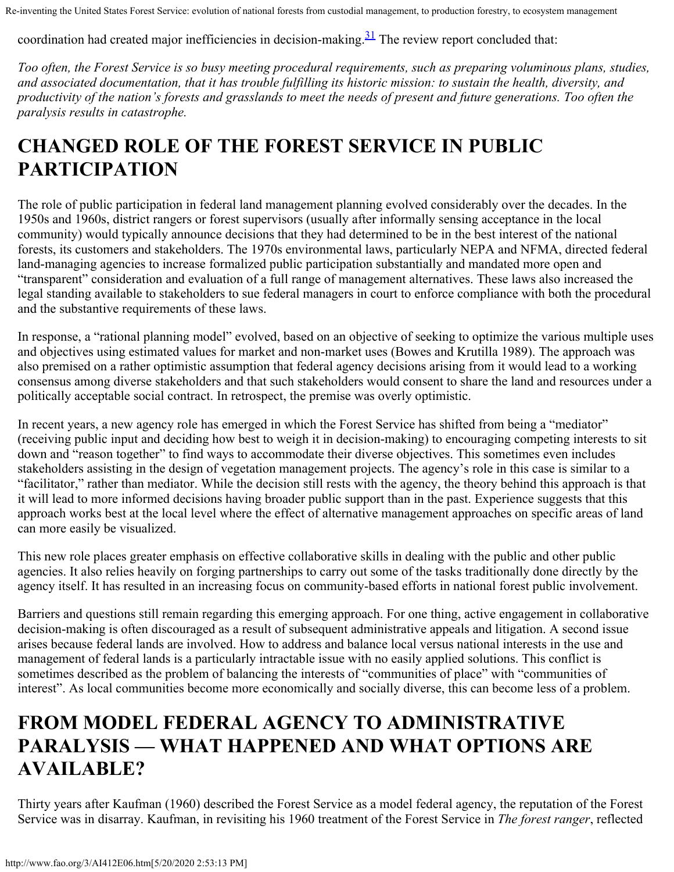coordination had created major inefficiencies in decision-making. $31$  The review report concluded that:

*Too often, the Forest Service is so busy meeting procedural requirements, such as preparing voluminous plans, studies, and associated documentation, that it has trouble fulfilling its historic mission: to sustain the health, diversity, and productivity of the nation's forests and grasslands to meet the needs of present and future generations. Too often the paralysis results in catastrophe.*

## **CHANGED ROLE OF THE FOREST SERVICE IN PUBLIC PARTICIPATION**

The role of public participation in federal land management planning evolved considerably over the decades. In the 1950s and 1960s, district rangers or forest supervisors (usually after informally sensing acceptance in the local community) would typically announce decisions that they had determined to be in the best interest of the national forests, its customers and stakeholders. The 1970s environmental laws, particularly NEPA and NFMA, directed federal land-managing agencies to increase formalized public participation substantially and mandated more open and "transparent" consideration and evaluation of a full range of management alternatives. These laws also increased the legal standing available to stakeholders to sue federal managers in court to enforce compliance with both the procedural and the substantive requirements of these laws.

In response, a "rational planning model" evolved, based on an objective of seeking to optimize the various multiple uses and objectives using estimated values for market and non-market uses (Bowes and Krutilla 1989). The approach was also premised on a rather optimistic assumption that federal agency decisions arising from it would lead to a working consensus among diverse stakeholders and that such stakeholders would consent to share the land and resources under a politically acceptable social contract. In retrospect, the premise was overly optimistic.

In recent years, a new agency role has emerged in which the Forest Service has shifted from being a "mediator" (receiving public input and deciding how best to weigh it in decision-making) to encouraging competing interests to sit down and "reason together" to find ways to accommodate their diverse objectives. This sometimes even includes stakeholders assisting in the design of vegetation management projects. The agency's role in this case is similar to a "facilitator," rather than mediator. While the decision still rests with the agency, the theory behind this approach is that it will lead to more informed decisions having broader public support than in the past. Experience suggests that this approach works best at the local level where the effect of alternative management approaches on specific areas of land can more easily be visualized.

This new role places greater emphasis on effective collaborative skills in dealing with the public and other public agencies. It also relies heavily on forging partnerships to carry out some of the tasks traditionally done directly by the agency itself. It has resulted in an increasing focus on community-based efforts in national forest public involvement.

Barriers and questions still remain regarding this emerging approach. For one thing, active engagement in collaborative decision-making is often discouraged as a result of subsequent administrative appeals and litigation. A second issue arises because federal lands are involved. How to address and balance local versus national interests in the use and management of federal lands is a particularly intractable issue with no easily applied solutions. This conflict is sometimes described as the problem of balancing the interests of "communities of place" with "communities of interest". As local communities become more economically and socially diverse, this can become less of a problem.

### **FROM MODEL FEDERAL AGENCY TO ADMINISTRATIVE PARALYSIS — WHAT HAPPENED AND WHAT OPTIONS ARE AVAILABLE?**

Thirty years after Kaufman (1960) described the Forest Service as a model federal agency, the reputation of the Forest Service was in disarray. Kaufman, in revisiting his 1960 treatment of the Forest Service in *The forest ranger*, reflected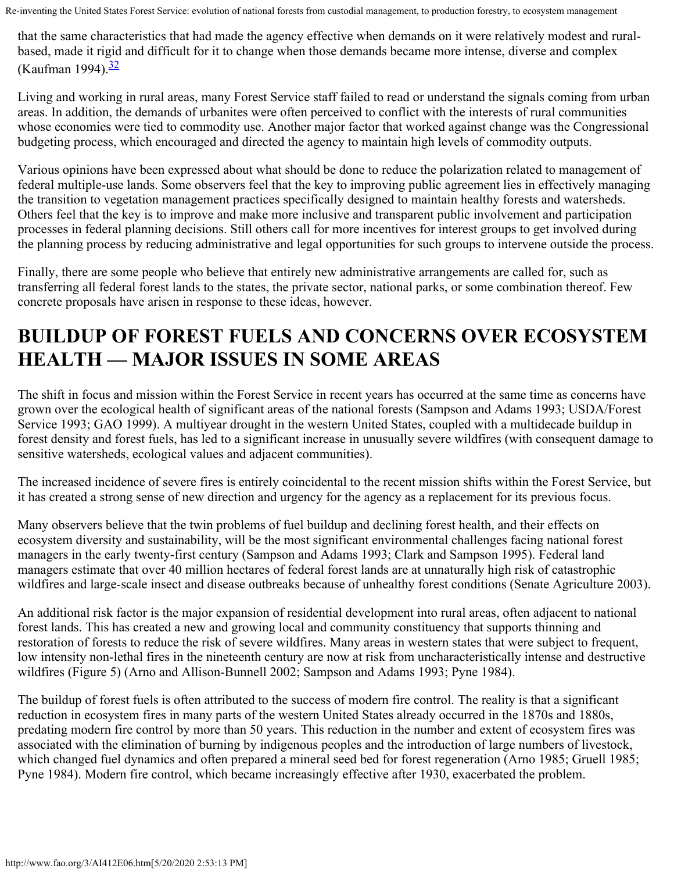that the same characteristics that had made the agency effective when demands on it were relatively modest and ruralbased, made it rigid and difficult for it to change when those demands became more intense, diverse and complex (Kaufman 1994).<sup>[32](#page-29-7)</sup>

Living and working in rural areas, many Forest Service staff failed to read or understand the signals coming from urban areas. In addition, the demands of urbanites were often perceived to conflict with the interests of rural communities whose economies were tied to commodity use. Another major factor that worked against change was the Congressional budgeting process, which encouraged and directed the agency to maintain high levels of commodity outputs.

Various opinions have been expressed about what should be done to reduce the polarization related to management of federal multiple-use lands. Some observers feel that the key to improving public agreement lies in effectively managing the transition to vegetation management practices specifically designed to maintain healthy forests and watersheds. Others feel that the key is to improve and make more inclusive and transparent public involvement and participation processes in federal planning decisions. Still others call for more incentives for interest groups to get involved during the planning process by reducing administrative and legal opportunities for such groups to intervene outside the process.

Finally, there are some people who believe that entirely new administrative arrangements are called for, such as transferring all federal forest lands to the states, the private sector, national parks, or some combination thereof. Few concrete proposals have arisen in response to these ideas, however.

# **BUILDUP OF FOREST FUELS AND CONCERNS OVER ECOSYSTEM HEALTH — MAJOR ISSUES IN SOME AREAS**

The shift in focus and mission within the Forest Service in recent years has occurred at the same time as concerns have grown over the ecological health of significant areas of the national forests (Sampson and Adams 1993; USDA/Forest Service 1993; GAO 1999). A multiyear drought in the western United States, coupled with a multidecade buildup in forest density and forest fuels, has led to a significant increase in unusually severe wildfires (with consequent damage to sensitive watersheds, ecological values and adjacent communities).

The increased incidence of severe fires is entirely coincidental to the recent mission shifts within the Forest Service, but it has created a strong sense of new direction and urgency for the agency as a replacement for its previous focus.

Many observers believe that the twin problems of fuel buildup and declining forest health, and their effects on ecosystem diversity and sustainability, will be the most significant environmental challenges facing national forest managers in the early twenty-first century (Sampson and Adams 1993; Clark and Sampson 1995). Federal land managers estimate that over 40 million hectares of federal forest lands are at unnaturally high risk of catastrophic wildfires and large-scale insect and disease outbreaks because of unhealthy forest conditions (Senate Agriculture 2003).

An additional risk factor is the major expansion of residential development into rural areas, often adjacent to national forest lands. This has created a new and growing local and community constituency that supports thinning and restoration of forests to reduce the risk of severe wildfires. Many areas in western states that were subject to frequent, low intensity non-lethal fires in the nineteenth century are now at risk from uncharacteristically intense and destructive wildfires (Figure 5) (Arno and Allison-Bunnell 2002; Sampson and Adams 1993; Pyne 1984).

The buildup of forest fuels is often attributed to the success of modern fire control. The reality is that a significant reduction in ecosystem fires in many parts of the western United States already occurred in the 1870s and 1880s, predating modern fire control by more than 50 years. This reduction in the number and extent of ecosystem fires was associated with the elimination of burning by indigenous peoples and the introduction of large numbers of livestock, which changed fuel dynamics and often prepared a mineral seed bed for forest regeneration (Arno 1985; Gruell 1985; Pyne 1984). Modern fire control, which became increasingly effective after 1930, exacerbated the problem.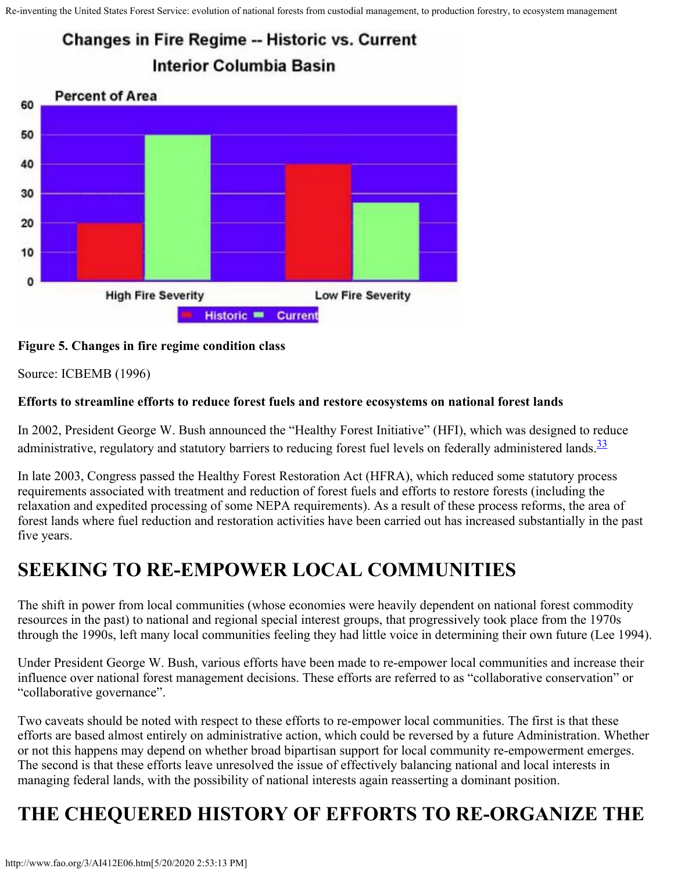### **Changes in Fire Regime -- Historic vs. Current** Interior Columbia Basin



#### **Figure 5. Changes in fire regime condition class**

Source: ICBEMB (1996)

#### **Efforts to streamline efforts to reduce forest fuels and restore ecosystems on national forest lands**

In 2002, President George W. Bush announced the "Healthy Forest Initiative" (HFI), which was designed to reduce administrative, regulatory and statutory barriers to reducing forest fuel levels on federally administered lands.<sup>33</sup>

In late 2003, Congress passed the Healthy Forest Restoration Act (HFRA), which reduced some statutory process requirements associated with treatment and reduction of forest fuels and efforts to restore forests (including the relaxation and expedited processing of some NEPA requirements). As a result of these process reforms, the area of forest lands where fuel reduction and restoration activities have been carried out has increased substantially in the past five years.

### **SEEKING TO RE-EMPOWER LOCAL COMMUNITIES**

The shift in power from local communities (whose economies were heavily dependent on national forest commodity resources in the past) to national and regional special interest groups, that progressively took place from the 1970s through the 1990s, left many local communities feeling they had little voice in determining their own future (Lee 1994).

Under President George W. Bush, various efforts have been made to re-empower local communities and increase their influence over national forest management decisions. These efforts are referred to as "collaborative conservation" or "collaborative governance".

Two caveats should be noted with respect to these efforts to re-empower local communities. The first is that these efforts are based almost entirely on administrative action, which could be reversed by a future Administration. Whether or not this happens may depend on whether broad bipartisan support for local community re-empowerment emerges. The second is that these efforts leave unresolved the issue of effectively balancing national and local interests in managing federal lands, with the possibility of national interests again reasserting a dominant position.

# **THE CHEQUERED HISTORY OF EFFORTS TO RE-ORGANIZE THE**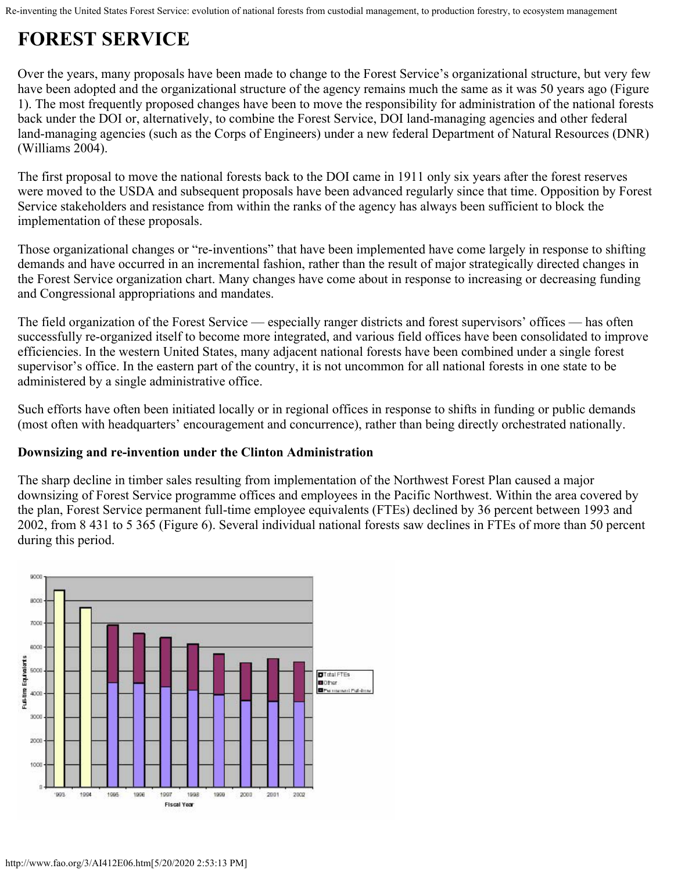## **FOREST SERVICE**

Over the years, many proposals have been made to change to the Forest Service's organizational structure, but very few have been adopted and the organizational structure of the agency remains much the same as it was 50 years ago (Figure 1). The most frequently proposed changes have been to move the responsibility for administration of the national forests back under the DOI or, alternatively, to combine the Forest Service, DOI land-managing agencies and other federal land-managing agencies (such as the Corps of Engineers) under a new federal Department of Natural Resources (DNR) (Williams 2004).

The first proposal to move the national forests back to the DOI came in 1911 only six years after the forest reserves were moved to the USDA and subsequent proposals have been advanced regularly since that time. Opposition by Forest Service stakeholders and resistance from within the ranks of the agency has always been sufficient to block the implementation of these proposals.

Those organizational changes or "re-inventions" that have been implemented have come largely in response to shifting demands and have occurred in an incremental fashion, rather than the result of major strategically directed changes in the Forest Service organization chart. Many changes have come about in response to increasing or decreasing funding and Congressional appropriations and mandates.

The field organization of the Forest Service — especially ranger districts and forest supervisors' offices — has often successfully re-organized itself to become more integrated, and various field offices have been consolidated to improve efficiencies. In the western United States, many adjacent national forests have been combined under a single forest supervisor's office. In the eastern part of the country, it is not uncommon for all national forests in one state to be administered by a single administrative office.

Such efforts have often been initiated locally or in regional offices in response to shifts in funding or public demands (most often with headquarters' encouragement and concurrence), rather than being directly orchestrated nationally.

### **Downsizing and re-invention under the Clinton Administration**

The sharp decline in timber sales resulting from implementation of the Northwest Forest Plan caused a major downsizing of Forest Service programme offices and employees in the Pacific Northwest. Within the area covered by the plan, Forest Service permanent full-time employee equivalents (FTEs) declined by 36 percent between 1993 and 2002, from 8 431 to 5 365 (Figure 6). Several individual national forests saw declines in FTEs of more than 50 percent during this period.

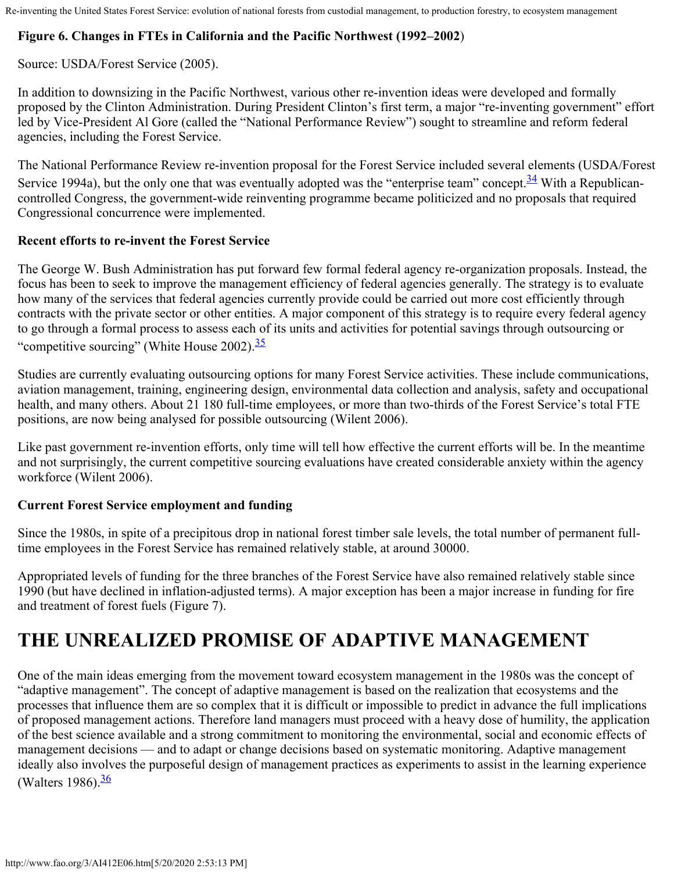### **Figure 6. Changes in FTEs in California and the Pacific Northwest (1992–2002**)

Source: USDA/Forest Service (2005).

In addition to downsizing in the Pacific Northwest, various other re-invention ideas were developed and formally proposed by the Clinton Administration. During President Clinton's first term, a major "re-inventing government" effort led by Vice-President Al Gore (called the "National Performance Review") sought to streamline and reform federal agencies, including the Forest Service.

The National Performance Review re-invention proposal for the Forest Service included several elements (USDA/Forest Service 1994a), but the only one that was eventually adopted was the "enterprise team" concept.<sup>34</sup> With a Republicancontrolled Congress, the government-wide reinventing programme became politicized and no proposals that required Congressional concurrence were implemented.

### **Recent efforts to re-invent the Forest Service**

The George W. Bush Administration has put forward few formal federal agency re-organization proposals. Instead, the focus has been to seek to improve the management efficiency of federal agencies generally. The strategy is to evaluate how many of the services that federal agencies currently provide could be carried out more cost efficiently through contracts with the private sector or other entities. A major component of this strategy is to require every federal agency to go through a formal process to assess each of its units and activities for potential savings through outsourcing or "competitive sourcing" (White House 2002).<sup>35</sup>

Studies are currently evaluating outsourcing options for many Forest Service activities. These include communications, aviation management, training, engineering design, environmental data collection and analysis, safety and occupational health, and many others. About 21 180 full-time employees, or more than two-thirds of the Forest Service's total FTE positions, are now being analysed for possible outsourcing (Wilent 2006).

Like past government re-invention efforts, only time will tell how effective the current efforts will be. In the meantime and not surprisingly, the current competitive sourcing evaluations have created considerable anxiety within the agency workforce (Wilent 2006).

### **Current Forest Service employment and funding**

Since the 1980s, in spite of a precipitous drop in national forest timber sale levels, the total number of permanent fulltime employees in the Forest Service has remained relatively stable, at around 30000.

Appropriated levels of funding for the three branches of the Forest Service have also remained relatively stable since 1990 (but have declined in inflation-adjusted terms). A major exception has been a major increase in funding for fire and treatment of forest fuels (Figure 7).

## **THE UNREALIZED PROMISE OF ADAPTIVE MANAGEMENT**

One of the main ideas emerging from the movement toward ecosystem management in the 1980s was the concept of "adaptive management". The concept of adaptive management is based on the realization that ecosystems and the processes that influence them are so complex that it is difficult or impossible to predict in advance the full implications of proposed management actions. Therefore land managers must proceed with a heavy dose of humility, the application of the best science available and a strong commitment to monitoring the environmental, social and economic effects of management decisions — and to adapt or change decisions based on systematic monitoring. Adaptive management ideally also involves the purposeful design of management practices as experiments to assist in the learning experience (Walters 1986). $\frac{36}{1}$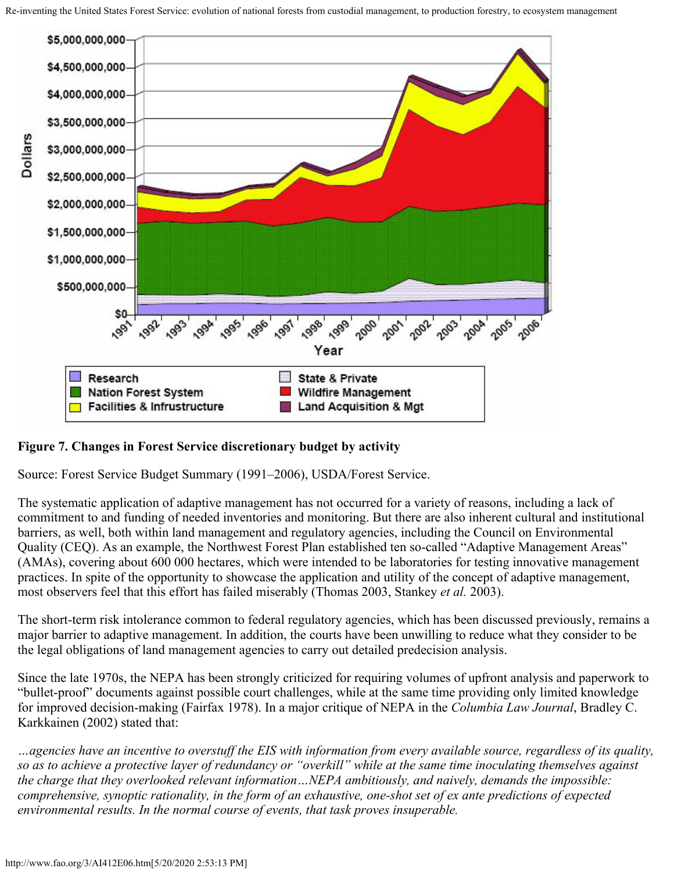

#### **Figure 7. Changes in Forest Service discretionary budget by activity**

Source: Forest Service Budget Summary (1991–2006), USDA/Forest Service.

The systematic application of adaptive management has not occurred for a variety of reasons, including a lack of commitment to and funding of needed inventories and monitoring. But there are also inherent cultural and institutional barriers, as well, both within land management and regulatory agencies, including the Council on Environmental Quality (CEQ). As an example, the Northwest Forest Plan established ten so-called "Adaptive Management Areas" (AMAs), covering about 600 000 hectares, which were intended to be laboratories for testing innovative management practices. In spite of the opportunity to showcase the application and utility of the concept of adaptive management, most observers feel that this effort has failed miserably (Thomas 2003, Stankey *et al.* 2003).

The short-term risk intolerance common to federal regulatory agencies, which has been discussed previously, remains a major barrier to adaptive management. In addition, the courts have been unwilling to reduce what they consider to be the legal obligations of land management agencies to carry out detailed predecision analysis.

Since the late 1970s, the NEPA has been strongly criticized for requiring volumes of upfront analysis and paperwork to "bullet-proof" documents against possible court challenges, while at the same time providing only limited knowledge for improved decision-making (Fairfax 1978). In a major critique of NEPA in the *Columbia Law Journal*, Bradley C. Karkkainen (2002) stated that:

*…agencies have an incentive to overstuff the EIS with information from every available source, regardless of its quality, so as to achieve a protective layer of redundancy or "overkill" while at the same time inoculating themselves against the charge that they overlooked relevant information…NEPA ambitiously, and naively, demands the impossible: comprehensive, synoptic rationality, in the form of an exhaustive, one-shot set of ex ante predictions of expected environmental results. In the normal course of events, that task proves insuperable.*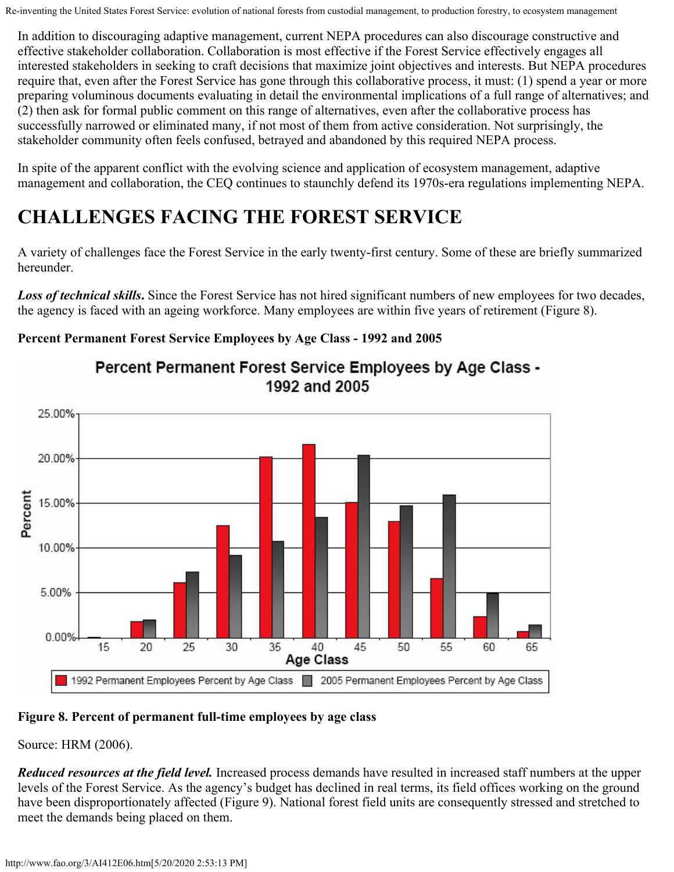In addition to discouraging adaptive management, current NEPA procedures can also discourage constructive and effective stakeholder collaboration. Collaboration is most effective if the Forest Service effectively engages all interested stakeholders in seeking to craft decisions that maximize joint objectives and interests. But NEPA procedures require that, even after the Forest Service has gone through this collaborative process, it must: (1) spend a year or more preparing voluminous documents evaluating in detail the environmental implications of a full range of alternatives; and (2) then ask for formal public comment on this range of alternatives, even after the collaborative process has successfully narrowed or eliminated many, if not most of them from active consideration. Not surprisingly, the stakeholder community often feels confused, betrayed and abandoned by this required NEPA process.

In spite of the apparent conflict with the evolving science and application of ecosystem management, adaptive management and collaboration, the CEQ continues to staunchly defend its 1970s-era regulations implementing NEPA.

# **CHALLENGES FACING THE FOREST SERVICE**

A variety of challenges face the Forest Service in the early twenty-first century. Some of these are briefly summarized hereunder.

*Loss of technical skills***.** Since the Forest Service has not hired significant numbers of new employees for two decades, the agency is faced with an ageing workforce. Many employees are within five years of retirement (Figure 8).

### **Percent Permanent Forest Service Employees by Age Class - 1992 and 2005**



### Percent Permanent Forest Service Employees by Age Class -1992 and 2005

### **Figure 8. Percent of permanent full-time employees by age class**

Source: HRM (2006).

*Reduced resources at the field level.* Increased process demands have resulted in increased staff numbers at the upper levels of the Forest Service. As the agency's budget has declined in real terms, its field offices working on the ground have been disproportionately affected (Figure 9). National forest field units are consequently stressed and stretched to meet the demands being placed on them.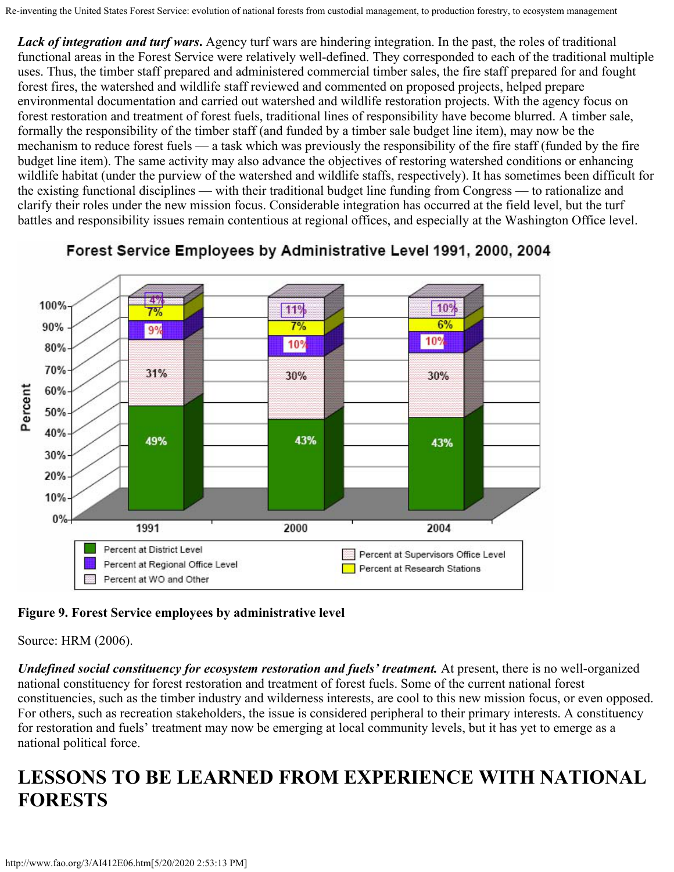Lack of integration and turf wars. Agency turf wars are hindering integration. In the past, the roles of traditional functional areas in the Forest Service were relatively well-defined. They corresponded to each of the traditional multiple uses. Thus, the timber staff prepared and administered commercial timber sales, the fire staff prepared for and fought forest fires, the watershed and wildlife staff reviewed and commented on proposed projects, helped prepare environmental documentation and carried out watershed and wildlife restoration projects. With the agency focus on forest restoration and treatment of forest fuels, traditional lines of responsibility have become blurred. A timber sale, formally the responsibility of the timber staff (and funded by a timber sale budget line item), may now be the mechanism to reduce forest fuels — a task which was previously the responsibility of the fire staff (funded by the fire budget line item). The same activity may also advance the objectives of restoring watershed conditions or enhancing wildlife habitat (under the purview of the watershed and wildlife staffs, respectively). It has sometimes been difficult for the existing functional disciplines — with their traditional budget line funding from Congress — to rationalize and clarify their roles under the new mission focus. Considerable integration has occurred at the field level, but the turf battles and responsibility issues remain contentious at regional offices, and especially at the Washington Office level.



### Forest Service Employees by Administrative Level 1991, 2000, 2004

### **Figure 9. Forest Service employees by administrative level**

Source: HRM (2006).

*Undefined social constituency for ecosystem restoration and fuels' treatment*. At present, there is no well-organized national constituency for forest restoration and treatment of forest fuels. Some of the current national forest constituencies, such as the timber industry and wilderness interests, are cool to this new mission focus, or even opposed. For others, such as recreation stakeholders, the issue is considered peripheral to their primary interests. A constituency for restoration and fuels' treatment may now be emerging at local community levels, but it has yet to emerge as a national political force.

## **LESSONS TO BE LEARNED FROM EXPERIENCE WITH NATIONAL FORESTS**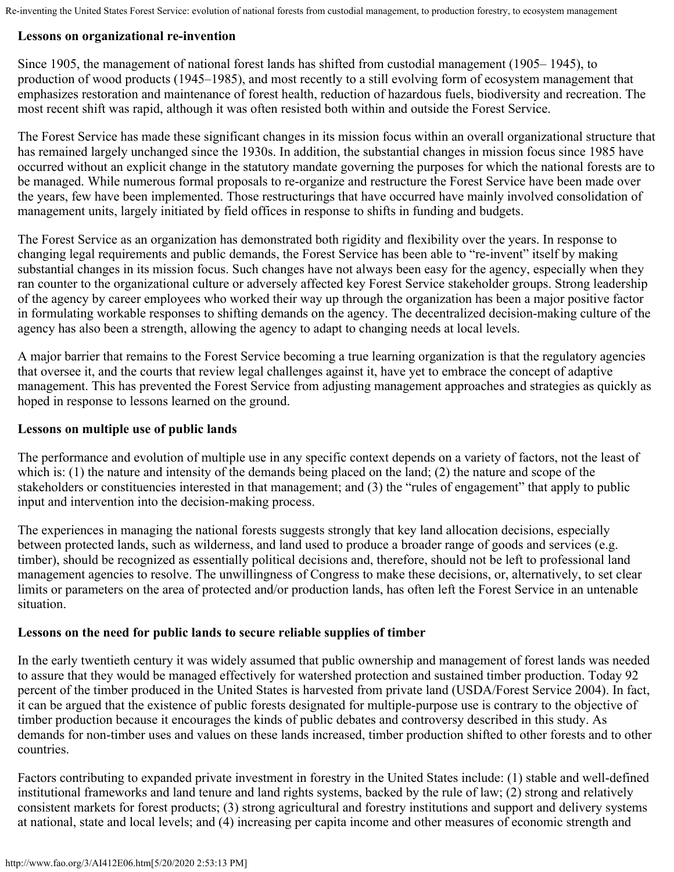#### **Lessons on organizational re-invention**

Since 1905, the management of national forest lands has shifted from custodial management (1905– 1945), to production of wood products (1945–1985), and most recently to a still evolving form of ecosystem management that emphasizes restoration and maintenance of forest health, reduction of hazardous fuels, biodiversity and recreation. The most recent shift was rapid, although it was often resisted both within and outside the Forest Service.

The Forest Service has made these significant changes in its mission focus within an overall organizational structure that has remained largely unchanged since the 1930s. In addition, the substantial changes in mission focus since 1985 have occurred without an explicit change in the statutory mandate governing the purposes for which the national forests are to be managed. While numerous formal proposals to re-organize and restructure the Forest Service have been made over the years, few have been implemented. Those restructurings that have occurred have mainly involved consolidation of management units, largely initiated by field offices in response to shifts in funding and budgets.

The Forest Service as an organization has demonstrated both rigidity and flexibility over the years. In response to changing legal requirements and public demands, the Forest Service has been able to "re-invent" itself by making substantial changes in its mission focus. Such changes have not always been easy for the agency, especially when they ran counter to the organizational culture or adversely affected key Forest Service stakeholder groups. Strong leadership of the agency by career employees who worked their way up through the organization has been a major positive factor in formulating workable responses to shifting demands on the agency. The decentralized decision-making culture of the agency has also been a strength, allowing the agency to adapt to changing needs at local levels.

A major barrier that remains to the Forest Service becoming a true learning organization is that the regulatory agencies that oversee it, and the courts that review legal challenges against it, have yet to embrace the concept of adaptive management. This has prevented the Forest Service from adjusting management approaches and strategies as quickly as hoped in response to lessons learned on the ground.

#### **Lessons on multiple use of public lands**

The performance and evolution of multiple use in any specific context depends on a variety of factors, not the least of which is: (1) the nature and intensity of the demands being placed on the land; (2) the nature and scope of the stakeholders or constituencies interested in that management; and (3) the "rules of engagement" that apply to public input and intervention into the decision-making process.

The experiences in managing the national forests suggests strongly that key land allocation decisions, especially between protected lands, such as wilderness, and land used to produce a broader range of goods and services (e.g. timber), should be recognized as essentially political decisions and, therefore, should not be left to professional land management agencies to resolve. The unwillingness of Congress to make these decisions, or, alternatively, to set clear limits or parameters on the area of protected and/or production lands, has often left the Forest Service in an untenable situation.

#### **Lessons on the need for public lands to secure reliable supplies of timber**

In the early twentieth century it was widely assumed that public ownership and management of forest lands was needed to assure that they would be managed effectively for watershed protection and sustained timber production. Today 92 percent of the timber produced in the United States is harvested from private land (USDA/Forest Service 2004). In fact, it can be argued that the existence of public forests designated for multiple-purpose use is contrary to the objective of timber production because it encourages the kinds of public debates and controversy described in this study. As demands for non-timber uses and values on these lands increased, timber production shifted to other forests and to other countries.

Factors contributing to expanded private investment in forestry in the United States include: (1) stable and well-defined institutional frameworks and land tenure and land rights systems, backed by the rule of law; (2) strong and relatively consistent markets for forest products; (3) strong agricultural and forestry institutions and support and delivery systems at national, state and local levels; and (4) increasing per capita income and other measures of economic strength and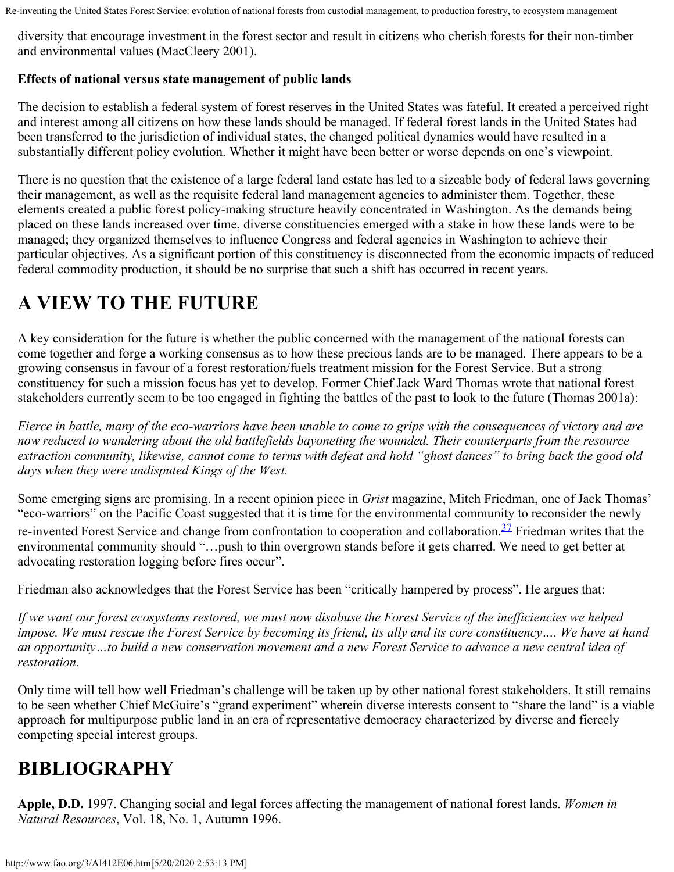diversity that encourage investment in the forest sector and result in citizens who cherish forests for their non-timber and environmental values (MacCleery 2001).

### **Effects of national versus state management of public lands**

The decision to establish a federal system of forest reserves in the United States was fateful. It created a perceived right and interest among all citizens on how these lands should be managed. If federal forest lands in the United States had been transferred to the jurisdiction of individual states, the changed political dynamics would have resulted in a substantially different policy evolution. Whether it might have been better or worse depends on one's viewpoint.

There is no question that the existence of a large federal land estate has led to a sizeable body of federal laws governing their management, as well as the requisite federal land management agencies to administer them. Together, these elements created a public forest policy-making structure heavily concentrated in Washington. As the demands being placed on these lands increased over time, diverse constituencies emerged with a stake in how these lands were to be managed; they organized themselves to influence Congress and federal agencies in Washington to achieve their particular objectives. As a significant portion of this constituency is disconnected from the economic impacts of reduced federal commodity production, it should be no surprise that such a shift has occurred in recent years.

# **A VIEW TO THE FUTURE**

A key consideration for the future is whether the public concerned with the management of the national forests can come together and forge a working consensus as to how these precious lands are to be managed. There appears to be a growing consensus in favour of a forest restoration/fuels treatment mission for the Forest Service. But a strong constituency for such a mission focus has yet to develop. Former Chief Jack Ward Thomas wrote that national forest stakeholders currently seem to be too engaged in fighting the battles of the past to look to the future (Thomas 2001a):

*Fierce in battle, many of the eco-warriors have been unable to come to grips with the consequences of victory and are now reduced to wandering about the old battlefields bayoneting the wounded. Their counterparts from the resource extraction community, likewise, cannot come to terms with defeat and hold "ghost dances" to bring back the good old days when they were undisputed Kings of the West.*

Some emerging signs are promising. In a recent opinion piece in *Grist* magazine, Mitch Friedman, one of Jack Thomas' "eco-warriors" on the Pacific Coast suggested that it is time for the environmental community to reconsider the newly re-invented Forest Service and change from confrontation to cooperation and collaboration.<sup>37</sup> Friedman writes that the environmental community should "…push to thin overgrown stands before it gets charred. We need to get better at advocating restoration logging before fires occur".

Friedman also acknowledges that the Forest Service has been "critically hampered by process". He argues that:

*If we want our forest ecosystems restored, we must now disabuse the Forest Service of the inefficiencies we helped impose. We must rescue the Forest Service by becoming its friend, its ally and its core constituency…. We have at hand an opportunity…to build a new conservation movement and a new Forest Service to advance a new central idea of restoration.*

Only time will tell how well Friedman's challenge will be taken up by other national forest stakeholders. It still remains to be seen whether Chief McGuire's "grand experiment" wherein diverse interests consent to "share the land" is a viable approach for multipurpose public land in an era of representative democracy characterized by diverse and fiercely competing special interest groups.

## **BIBLIOGRAPHY**

**Apple, D.D.** 1997. Changing social and legal forces affecting the management of national forest lands. *Women in Natural Resources*, Vol. 18, No. 1, Autumn 1996.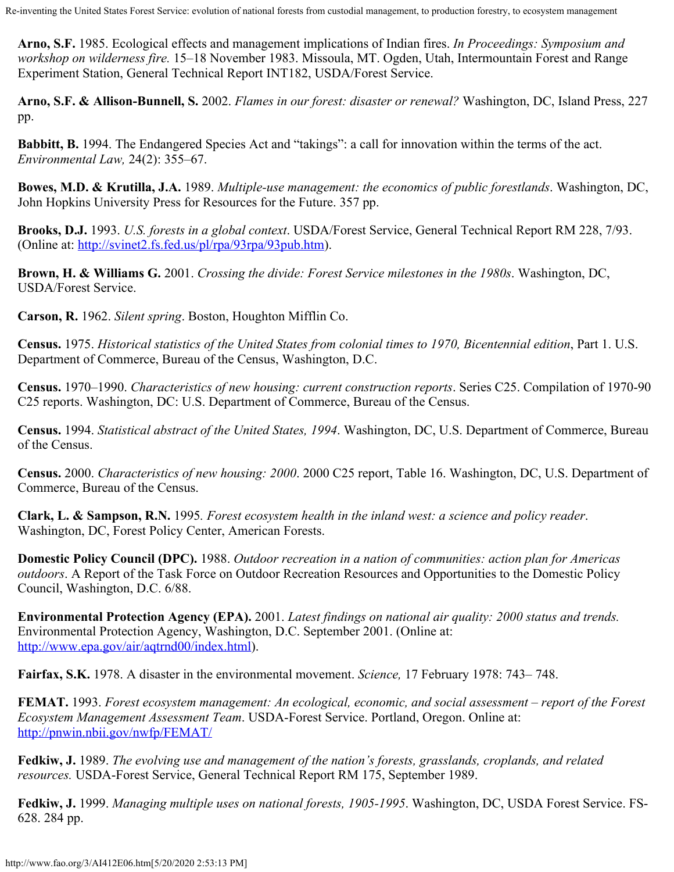**Arno, S.F.** 1985. Ecological effects and management implications of Indian fires. *In Proceedings: Symposium and workshop on wilderness fire.* 15–18 November 1983. Missoula, MT. Ogden, Utah, Intermountain Forest and Range Experiment Station, General Technical Report INT182, USDA/Forest Service.

**Arno, S.F. & Allison-Bunnell, S.** 2002. *Flames in our forest: disaster or renewal?* Washington, DC, Island Press, 227 pp.

**Babbitt, B.** 1994. The Endangered Species Act and "takings": a call for innovation within the terms of the act. *Environmental Law,* 24(2): 355–67.

**Bowes, M.D. & Krutilla, J.A.** 1989. *Multiple-use management: the economics of public forestlands*. Washington, DC, John Hopkins University Press for Resources for the Future. 357 pp.

**Brooks, D.J.** 1993. *U.S. forests in a global context*. USDA/Forest Service, General Technical Report RM 228, 7/93. (Online at:<http://svinet2.fs.fed.us/pl/rpa/93rpa/93pub.htm>).

**Brown, H. & Williams G.** 2001. *Crossing the divide: Forest Service milestones in the 1980s*. Washington, DC, USDA/Forest Service.

**Carson, R.** 1962. *Silent spring*. Boston, Houghton Mifflin Co.

**Census.** 1975. *Historical statistics of the United States from colonial times to 1970, Bicentennial edition*, Part 1. U.S. Department of Commerce, Bureau of the Census, Washington, D.C.

**Census.** 1970–1990. *Characteristics of new housing: current construction reports*. Series C25. Compilation of 1970-90 C25 reports. Washington, DC: U.S. Department of Commerce, Bureau of the Census.

**Census.** 1994. *Statistical abstract of the United States, 1994*. Washington, DC, U.S. Department of Commerce, Bureau of the Census.

**Census.** 2000. *Characteristics of new housing: 2000*. 2000 C25 report, Table 16. Washington, DC, U.S. Department of Commerce, Bureau of the Census.

**Clark, L. & Sampson, R.N.** 1995*. Forest ecosystem health in the inland west: a science and policy reader*. Washington, DC, Forest Policy Center, American Forests.

**Domestic Policy Council (DPC).** 1988. *Outdoor recreation in a nation of communities: action plan for Americas outdoors*. A Report of the Task Force on Outdoor Recreation Resources and Opportunities to the Domestic Policy Council, Washington, D.C. 6/88.

**Environmental Protection Agency (EPA).** 2001. *Latest findings on national air quality: 2000 status and trends.* Environmental Protection Agency, Washington, D.C. September 2001. (Online at: <http://www.epa.gov/air/aqtrnd00/index.html>).

**Fairfax, S.K.** 1978. A disaster in the environmental movement. *Science,* 17 February 1978: 743– 748.

**FEMAT.** 1993. *Forest ecosystem management: An ecological, economic, and social assessment – report of the Forest Ecosystem Management Assessment Team*. USDA-Forest Service. Portland, Oregon. Online at: <http://pnwin.nbii.gov/nwfp/FEMAT/>

**Fedkiw, J.** 1989. *The evolving use and management of the nation's forests, grasslands, croplands, and related resources.* USDA-Forest Service, General Technical Report RM 175, September 1989.

**Fedkiw, J.** 1999. *Managing multiple uses on national forests, 1905-1995*. Washington, DC, USDA Forest Service. FS-628. 284 pp.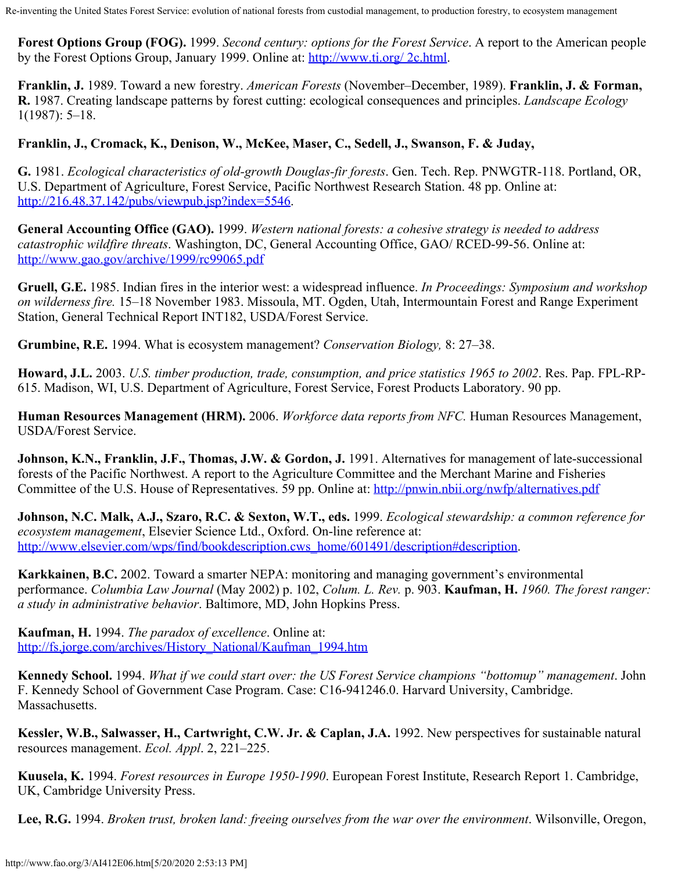**Forest Options Group (FOG).** 1999. *Second century: options for the Forest Service*. A report to the American people by the Forest Options Group, January 1999. Online at: [http://www.ti.org/ 2c.html](http://www.ti.org/2c.html).

**Franklin, J.** 1989. Toward a new forestry. *American Forests* (November–December, 1989). **Franklin, J. & Forman, R.** 1987. Creating landscape patterns by forest cutting: ecological consequences and principles. *Landscape Ecology* 1(1987): 5–18.

#### **Franklin, J., Cromack, K., Denison, W., McKee, Maser, C., Sedell, J., Swanson, F. & Juday,**

**G.** 1981. *Ecological characteristics of old-growth Douglas-fir forests*. Gen. Tech. Rep. PNWGTR-118. Portland, OR, U.S. Department of Agriculture, Forest Service, Pacific Northwest Research Station. 48 pp. Online at: <http://216.48.37.142/pubs/viewpub.jsp?index=5546>.

**General Accounting Office (GAO).** 1999. *Western national forests: a cohesive strategy is needed to address catastrophic wildfire threats*. Washington, DC, General Accounting Office, GAO/ RCED-99-56. Online at: <http://www.gao.gov/archive/1999/rc99065.pdf>

**Gruell, G.E.** 1985. Indian fires in the interior west: a widespread influence. *In Proceedings: Symposium and workshop on wilderness fire.* 15–18 November 1983. Missoula, MT. Ogden, Utah, Intermountain Forest and Range Experiment Station, General Technical Report INT182, USDA/Forest Service.

**Grumbine, R.E.** 1994. What is ecosystem management? *Conservation Biology,* 8: 27–38.

**Howard, J.L.** 2003. *U.S. timber production, trade, consumption, and price statistics 1965 to 2002*. Res. Pap. FPL-RP-615. Madison, WI, U.S. Department of Agriculture, Forest Service, Forest Products Laboratory. 90 pp.

**Human Resources Management (HRM).** 2006. *Workforce data reports from NFC.* Human Resources Management, USDA/Forest Service.

**Johnson, K.N., Franklin, J.F., Thomas, J.W. & Gordon, J.** 1991. Alternatives for management of late-successional forests of the Pacific Northwest. A report to the Agriculture Committee and the Merchant Marine and Fisheries Committee of the U.S. House of Representatives. 59 pp. Online at:<http://pnwin.nbii.org/nwfp/alternatives.pdf>

**Johnson, N.C. Malk, A.J., Szaro, R.C. & Sexton, W.T., eds.** 1999. *Ecological stewardship: a common reference for ecosystem management*, Elsevier Science Ltd., Oxford. On-line reference at: [http://www.elsevier.com/wps/find/bookdescription.cws\\_home/601491/description#description](http://www.elsevier.com/wps/find/bookdescription.cws_home/601491/description#description).

**Karkkainen, B.C.** 2002. Toward a smarter NEPA: monitoring and managing government's environmental performance. *Columbia Law Journal* (May 2002) p. 102, *Colum. L. Rev.* p. 903. **Kaufman, H.** *1960. The forest ranger: a study in administrative behavior*. Baltimore, MD, John Hopkins Press.

**Kaufman, H.** 1994. *The paradox of excellence*. Online at: [http://fs.jorge.com/archives/History\\_National/Kaufman\\_1994.htm](http://fs.jorge.com/archives/History_National/Kaufman_1994.htm)

**Kennedy School.** 1994. *What if we could start over: the US Forest Service champions "bottomup" management*. John F. Kennedy School of Government Case Program. Case: C16-941246.0. Harvard University, Cambridge. Massachusetts.

**Kessler, W.B., Salwasser, H., Cartwright, C.W. Jr. & Caplan, J.A.** 1992. New perspectives for sustainable natural resources management. *Ecol. Appl*. 2, 221–225.

**Kuusela, K.** 1994. *Forest resources in Europe 1950-1990*. European Forest Institute, Research Report 1. Cambridge, UK, Cambridge University Press.

**Lee, R.G.** 1994. *Broken trust, broken land: freeing ourselves from the war over the environment*. Wilsonville, Oregon,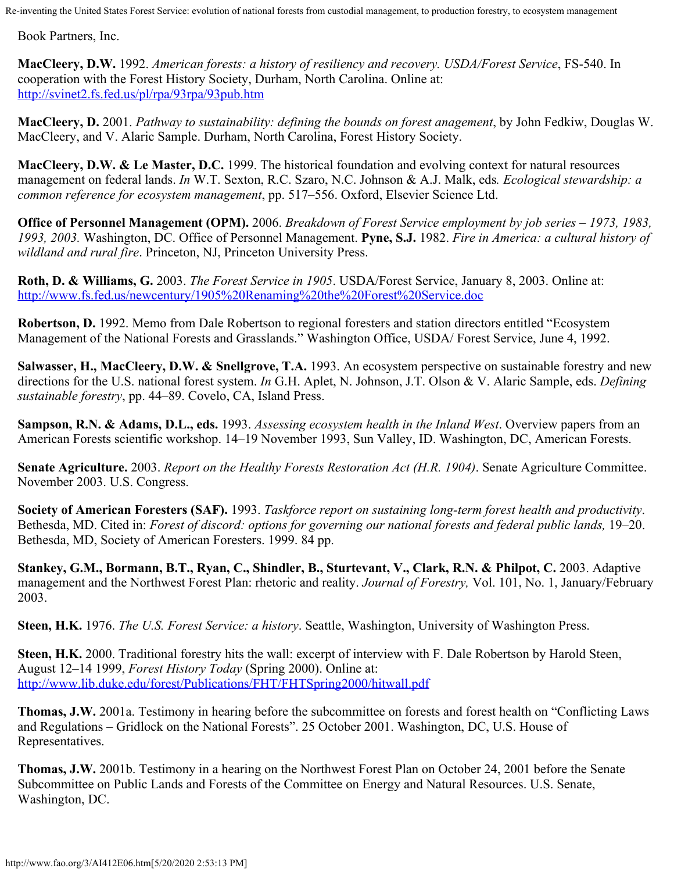Book Partners, Inc.

**MacCleery, D.W.** 1992. *American forests: a history of resiliency and recovery. USDA/Forest Service*, FS-540. In cooperation with the Forest History Society, Durham, North Carolina. Online at: <http://svinet2.fs.fed.us/pl/rpa/93rpa/93pub.htm>

**MacCleery, D.** 2001. *Pathway to sustainability: defining the bounds on forest anagement*, by John Fedkiw, Douglas W. MacCleery, and V. Alaric Sample. Durham, North Carolina, Forest History Society.

**MacCleery, D.W. & Le Master, D.C.** 1999. The historical foundation and evolving context for natural resources management on federal lands. *In* W.T. Sexton, R.C. Szaro, N.C. Johnson & A.J. Malk, eds*. Ecological stewardship: a common reference for ecosystem management*, pp. 517–556. Oxford, Elsevier Science Ltd.

**Office of Personnel Management (OPM).** 2006. *Breakdown of Forest Service employment by job series – 1973, 1983, 1993, 2003.* Washington, DC. Office of Personnel Management. **Pyne, S.J.** 1982. *Fire in America: a cultural history of wildland and rural fire*. Princeton, NJ, Princeton University Press.

**Roth, D. & Williams, G.** 2003. *The Forest Service in 1905*. USDA/Forest Service, January 8, 2003. Online at: <http://www.fs.fed.us/newcentury/1905%20Renaming%20the%20Forest%20Service.doc>

**Robertson, D.** 1992. Memo from Dale Robertson to regional foresters and station directors entitled "Ecosystem Management of the National Forests and Grasslands." Washington Office, USDA/ Forest Service, June 4, 1992.

**Salwasser, H., MacCleery, D.W. & Snellgrove, T.A.** 1993. An ecosystem perspective on sustainable forestry and new directions for the U.S. national forest system. *In* G.H. Aplet, N. Johnson, J.T. Olson & V. Alaric Sample, eds. *Defining sustainable forestry*, pp. 44–89. Covelo, CA, Island Press.

**Sampson, R.N. & Adams, D.L., eds.** 1993. *Assessing ecosystem health in the Inland West*. Overview papers from an American Forests scientific workshop. 14–19 November 1993, Sun Valley, ID. Washington, DC, American Forests.

**Senate Agriculture.** 2003. *Report on the Healthy Forests Restoration Act (H.R. 1904)*. Senate Agriculture Committee. November 2003. U.S. Congress.

**Society of American Foresters (SAF).** 1993. *Taskforce report on sustaining long-term forest health and productivity*. Bethesda, MD. Cited in: *Forest of discord: options for governing our national forests and federal public lands,* 19–20. Bethesda, MD, Society of American Foresters. 1999. 84 pp.

**Stankey, G.M., Bormann, B.T., Ryan, C., Shindler, B., Sturtevant, V., Clark, R.N. & Philpot, C. 2003. Adaptive** management and the Northwest Forest Plan: rhetoric and reality. *Journal of Forestry,* Vol. 101, No. 1, January/February 2003.

**Steen, H.K.** 1976. *The U.S. Forest Service: a history*. Seattle, Washington, University of Washington Press.

**Steen, H.K.** 2000. Traditional forestry hits the wall: excerpt of interview with F. Dale Robertson by Harold Steen, August 12–14 1999, *Forest History Today* (Spring 2000). Online at: <http://www.lib.duke.edu/forest/Publications/FHT/FHTSpring2000/hitwall.pdf>

**Thomas, J.W.** 2001a. Testimony in hearing before the subcommittee on forests and forest health on "Conflicting Laws and Regulations – Gridlock on the National Forests". 25 October 2001. Washington, DC, U.S. House of Representatives.

**Thomas, J.W.** 2001b. Testimony in a hearing on the Northwest Forest Plan on October 24, 2001 before the Senate Subcommittee on Public Lands and Forests of the Committee on Energy and Natural Resources. U.S. Senate, Washington, DC.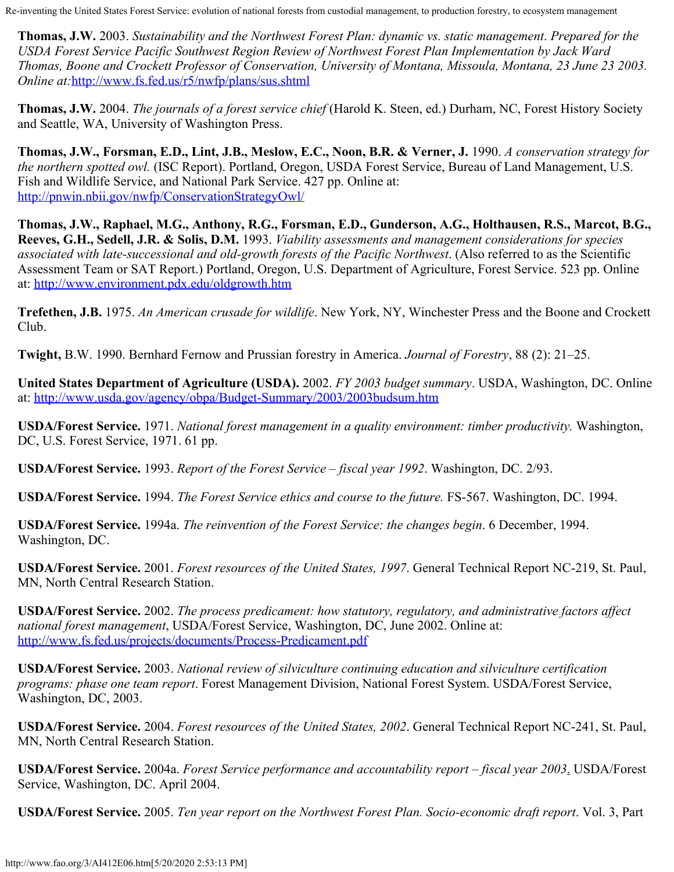**Thomas, J.W.** 2003. *Sustainability and the Northwest Forest Plan: dynamic vs. static management*. *Prepared for the USDA Forest Service Pacific Southwest Region Review of Northwest Forest Plan Implementation by Jack Ward Thomas, Boone and Crockett Professor of Conservation, University of Montana, Missoula, Montana, 23 June 23 2003. Online at:*<http://www.fs.fed.us/r5/nwfp/plans/sus.shtml>

**Thomas, J.W.** 2004. *The journals of a forest service chief* (Harold K. Steen, ed.) Durham, NC, Forest History Society and Seattle, WA, University of Washington Press.

**Thomas, J.W., Forsman, E.D., Lint, J.B., Meslow, E.C., Noon, B.R. & Verner, J.** 1990. *A conservation strategy for the northern spotted owl.* (ISC Report). Portland, Oregon, USDA Forest Service, Bureau of Land Management, U.S. Fish and Wildlife Service, and National Park Service. 427 pp. Online at: <http://pnwin.nbii.gov/nwfp/ConservationStrategyOwl/>

**Thomas, J.W., Raphael, M.G., Anthony, R.G., Forsman, E.D., Gunderson, A.G., Holthausen, R.S., Marcot, B.G., Reeves, G.H., Sedell, J.R. & Solis, D.M.** 1993. *Viability assessments and management considerations for species associated with late-successional and old-growth forests of the Pacific Northwest*. (Also referred to as the Scientific Assessment Team or SAT Report.) Portland, Oregon, U.S. Department of Agriculture, Forest Service. 523 pp. Online at:<http://www.environment.pdx.edu/oldgrowth.htm>

**Trefethen, J.B.** 1975. *An American crusade for wildlife*. New York, NY, Winchester Press and the Boone and Crockett Club.

**Twight,** B.W. 1990. Bernhard Fernow and Prussian forestry in America. *Journal of Forestry*, 88 (2): 21–25.

**United States Department of Agriculture (USDA).** 2002. *FY 2003 budget summary*. USDA, Washington, DC. Online at:<http://www.usda.gov/agency/obpa/Budget-Summary/2003/2003budsum.htm>

**USDA/Forest Service.** 1971. *National forest management in a quality environment: timber productivity.* Washington, DC, U.S. Forest Service, 1971. 61 pp.

**USDA/Forest Service.** 1993. *Report of the Forest Service – fiscal year 1992*. Washington, DC. 2/93.

**USDA/Forest Service.** 1994. *The Forest Service ethics and course to the future.* FS-567. Washington, DC. 1994.

**USDA/Forest Service.** 1994a. *The reinvention of the Forest Service: the changes begin*. 6 December, 1994. Washington, DC.

**USDA/Forest Service.** 2001. *Forest resources of the United States, 1997*. General Technical Report NC-219, St. Paul, MN, North Central Research Station.

**USDA/Forest Service.** 2002. *The process predicament: how statutory, regulatory, and administrative factors affect national forest management*, USDA/Forest Service, Washington, DC, June 2002. Online at: <http://www.fs.fed.us/projects/documents/Process-Predicament.pdf>

**USDA/Forest Service.** 2003. *National review of silviculture continuing education and silviculture certification programs: phase one team report*. Forest Management Division, National Forest System. USDA/Forest Service, Washington, DC, 2003.

**USDA/Forest Service.** 2004. *Forest resources of the United States, 2002*. General Technical Report NC-241, St. Paul, MN, North Central Research Station.

**USDA/Forest Service.** 2004a. *Forest Service performance and accountability report – fiscal year 2003*. USDA/Forest Service, Washington, DC. April 2004.

**USDA/Forest Service.** 2005. *Ten year report on the Northwest Forest Plan. Socio-economic draft report*. Vol. 3, Part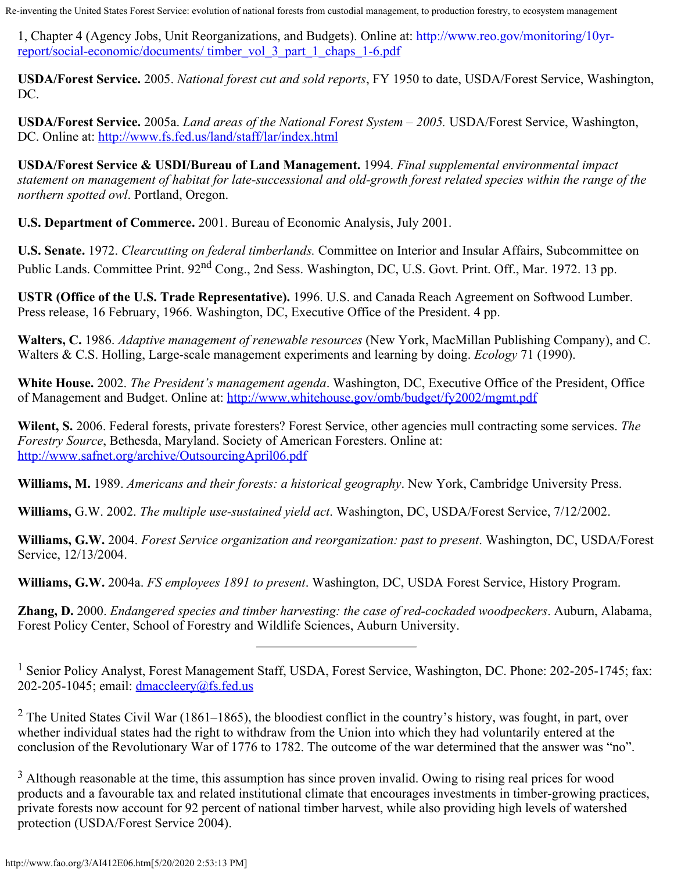1, Chapter 4 (Agency Jobs, Unit Reorganizations, and Budgets). Online at: [http://www.reo.gov/monitoring/10yr](http://www.reo.gov/monitoring/10yr-report/social-economic/documents/ timber_vol_3_part_1_chaps_1-6.pdf)[report/social-economic/documents/ timber\\_vol\\_3\\_part\\_1\\_chaps\\_1-6.pdf](http://www.reo.gov/monitoring/10yr-report/social-economic/documents/ timber_vol_3_part_1_chaps_1-6.pdf)

**USDA/Forest Service.** 2005. *National forest cut and sold reports*, FY 1950 to date, USDA/Forest Service, Washington, DC.

**USDA/Forest Service.** 2005a. *Land areas of the National Forest System – 2005.* USDA/Forest Service, Washington, DC. Online at:<http://www.fs.fed.us/land/staff/lar/index.html>

**USDA/Forest Service & USDI/Bureau of Land Management.** 1994. *Final supplemental environmental impact statement on management of habitat for late-successional and old-growth forest related species within the range of the northern spotted owl*. Portland, Oregon.

**U.S. Department of Commerce.** 2001. Bureau of Economic Analysis, July 2001.

**U.S. Senate.** 1972. *Clearcutting on federal timberlands.* Committee on Interior and Insular Affairs, Subcommittee on Public Lands. Committee Print. 92<sup>nd</sup> Cong., 2nd Sess. Washington, DC, U.S. Govt. Print. Off., Mar. 1972. 13 pp.

**USTR (Office of the U.S. Trade Representative).** 1996. U.S. and Canada Reach Agreement on Softwood Lumber. Press release, 16 February, 1966. Washington, DC, Executive Office of the President. 4 pp.

**Walters, C.** 1986. *Adaptive management of renewable resources* (New York, MacMillan Publishing Company), and C. Walters & C.S. Holling, Large-scale management experiments and learning by doing. *Ecology* 71 (1990).

**White House.** 2002. *The President's management agenda*. Washington, DC, Executive Office of the President, Office of Management and Budget. Online at:<http://www.whitehouse.gov/omb/budget/fy2002/mgmt.pdf>

**Wilent, S.** 2006. Federal forests, private foresters? Forest Service, other agencies mull contracting some services. *The Forestry Source*, Bethesda, Maryland. Society of American Foresters. Online at: <http://www.safnet.org/archive/OutsourcingApril06.pdf>

**Williams, M.** 1989. *Americans and their forests: a historical geography*. New York, Cambridge University Press.

**Williams,** G.W. 2002. *The multiple use-sustained yield act*. Washington, DC, USDA/Forest Service, 7/12/2002.

**Williams, G.W.** 2004. *Forest Service organization and reorganization: past to present*. Washington, DC, USDA/Forest Service, 12/13/2004.

**Williams, G.W.** 2004a. *FS employees 1891 to present*. Washington, DC, USDA Forest Service, History Program.

**Zhang, D.** 2000. *Endangered species and timber harvesting: the case of red-cockaded woodpeckers*. Auburn, Alabama, Forest Policy Center, School of Forestry and Wildlife Sciences, Auburn University.

<span id="page-27-0"></span><sup>1</sup> Senior Policy Analyst, Forest Management Staff, USDA, Forest Service, Washington, DC. Phone: 202-205-1745; fax: 202-205-1045; email: [dmaccleery@fs.fed.us](mailto:dmaccleery@fs.fed.us)

<sup>2</sup> The United States Civil War (1861–1865), the bloodiest conflict in the country's history, was fought, in part, over whether individual states had the right to withdraw from the Union into which they had voluntarily entered at the conclusion of the Revolutionary War of 1776 to 1782. The outcome of the war determined that the answer was "no".

 $3$  Although reasonable at the time, this assumption has since proven invalid. Owing to rising real prices for wood products and a favourable tax and related institutional climate that encourages investments in timber-growing practices, private forests now account for 92 percent of national timber harvest, while also providing high levels of watershed protection (USDA/Forest Service 2004).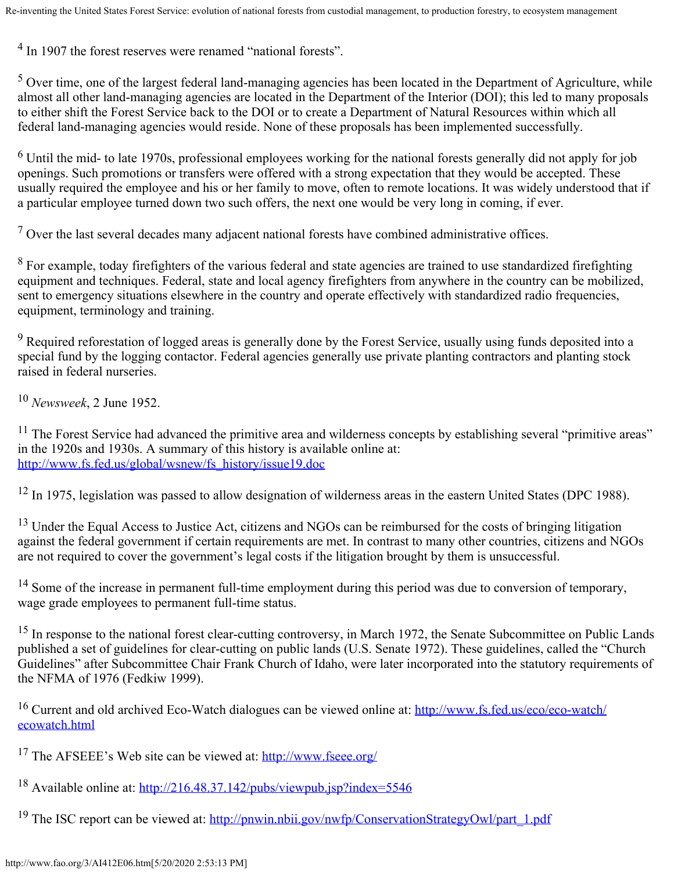<sup>4</sup> In 1907 the forest reserves were renamed "national forests".

<sup>5</sup> Over time, one of the largest federal land-managing agencies has been located in the Department of Agriculture, while almost all other land-managing agencies are located in the Department of the Interior (DOI); this led to many proposals to either shift the Forest Service back to the DOI or to create a Department of Natural Resources within which all federal land-managing agencies would reside. None of these proposals has been implemented successfully.

 $^6$  Until the mid- to late 1970s, professional employees working for the national forests generally did not apply for job openings. Such promotions or transfers were offered with a strong expectation that they would be accepted. These usually required the employee and his or her family to move, often to remote locations. It was widely understood that if a particular employee turned down two such offers, the next one would be very long in coming, if ever.

 $7$  Over the last several decades many adjacent national forests have combined administrative offices.

 $8$  For example, today firefighters of the various federal and state agencies are trained to use standardized firefighting equipment and techniques. Federal, state and local agency firefighters from anywhere in the country can be mobilized, sent to emergency situations elsewhere in the country and operate effectively with standardized radio frequencies, equipment, terminology and training.

 $9$  Required reforestation of logged areas is generally done by the Forest Service, usually using funds deposited into a special fund by the logging contactor. Federal agencies generally use private planting contractors and planting stock raised in federal nurseries.

<sup>10</sup> *Newsweek*, 2 June 1952.

<span id="page-28-0"></span> $11$  The Forest Service had advanced the primitive area and wilderness concepts by establishing several "primitive areas" in the 1920s and 1930s. A summary of this history is available online at: [http://www.fs.fed.us/global/wsnew/fs\\_history/issue19.doc](http://www.fs.fed.us/global/wsnew/fs_history/issue19.doc)

<sup>12</sup> In 1975, legislation was passed to allow designation of wilderness areas in the eastern United States (DPC 1988).

<sup>13</sup> Under the Equal Access to Justice Act, citizens and NGOs can be reimbursed for the costs of bringing litigation against the federal government if certain requirements are met. In contrast to many other countries, citizens and NGOs are not required to cover the government's legal costs if the litigation brought by them is unsuccessful.

<sup>14</sup> Some of the increase in permanent full-time employment during this period was due to conversion of temporary, wage grade employees to permanent full-time status.

<sup>15</sup> In response to the national forest clear-cutting controversy, in March 1972, the Senate Subcommittee on Public Lands published a set of guidelines for clear-cutting on public lands (U.S. Senate 1972). These guidelines, called the "Church Guidelines" after Subcommittee Chair Frank Church of Idaho, were later incorporated into the statutory requirements of the NFMA of 1976 (Fedkiw 1999).

<span id="page-28-1"></span><sup>16</sup> Current and old archived Eco-Watch dialogues can be viewed online at: [http://www.fs.fed.us/eco/eco-watch/](http://www.fs.fed.us/eco/eco-watch/ ecowatch.html) [ecowatch.html](http://www.fs.fed.us/eco/eco-watch/ ecowatch.html)

<span id="page-28-2"></span>17 The AFSEEE's Web site can be viewed at:<http://www.fseee.org/>

- <span id="page-28-3"></span><sup>18</sup> Available online at:<http://216.48.37.142/pubs/viewpub.jsp?index=5546>
- <span id="page-28-4"></span><sup>19</sup> The ISC report can be viewed at: [http://pnwin.nbii.gov/nwfp/ConservationStrategyOwl/part\\_1.pdf](http://pnwin.nbii.gov/nwfp/ConservationStrategyOwl/part_1.pdf)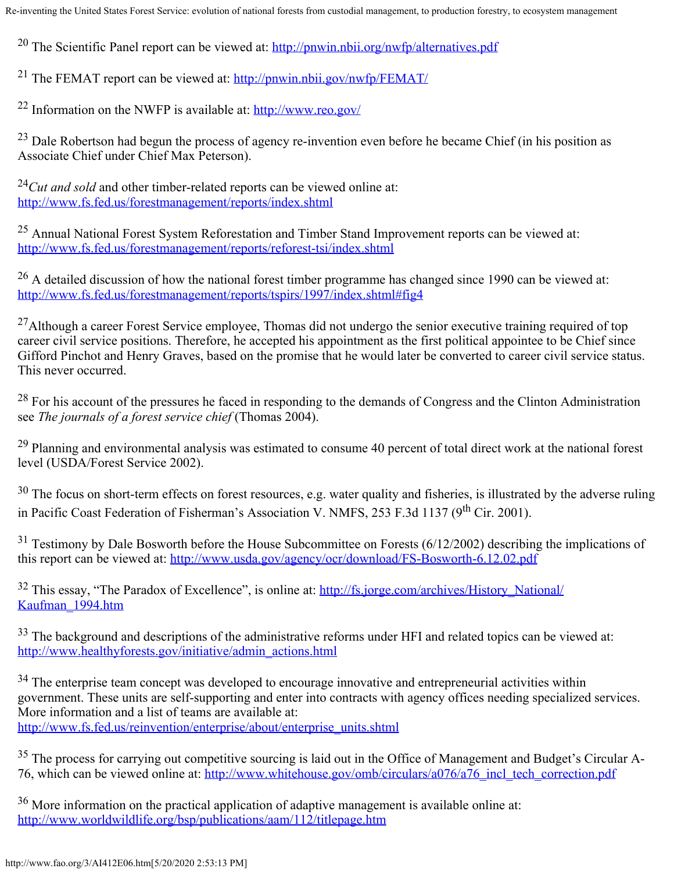<span id="page-29-0"></span><sup>20</sup> The Scientific Panel report can be viewed at:  $\frac{http://p_nwin.nbii.org/nwfp/alternative.pdf}{http://p_nwin.nbi.}$ 

<span id="page-29-1"></span><sup>21</sup> The FEMAT report can be viewed at:<http://pnwin.nbii.gov/nwfp/FEMAT/>

<span id="page-29-2"></span>22 Information on the NWFP is available at:<http://www.reo.gov/>

 $^{23}$  Dale Robertson had begun the process of agency re-invention even before he became Chief (in his position as Associate Chief under Chief Max Peterson).

<span id="page-29-3"></span><sup>24</sup>*Cut and sold* and other timber-related reports can be viewed online at: <http://www.fs.fed.us/forestmanagement/reports/index.shtml>

<span id="page-29-4"></span>25 Annual National Forest System Reforestation and Timber Stand Improvement reports can be viewed at: <http://www.fs.fed.us/forestmanagement/reports/reforest-tsi/index.shtml>

<span id="page-29-5"></span> $26$  A detailed discussion of how the national forest timber programme has changed since 1990 can be viewed at: <http://www.fs.fed.us/forestmanagement/reports/tspirs/1997/index.shtml#fig4>

 $^{27}$ Although a career Forest Service employee, Thomas did not undergo the senior executive training required of top career civil service positions. Therefore, he accepted his appointment as the first political appointee to be Chief since Gifford Pinchot and Henry Graves, based on the promise that he would later be converted to career civil service status. This never occurred.

 $^{28}$  For his account of the pressures he faced in responding to the demands of Congress and the Clinton Administration see *The journals of a forest service chief* (Thomas 2004).

<sup>29</sup> Planning and environmental analysis was estimated to consume 40 percent of total direct work at the national forest level (USDA/Forest Service 2002).

<sup>30</sup> The focus on short-term effects on forest resources, e.g. water quality and fisheries, is illustrated by the adverse ruling in Pacific Coast Federation of Fisherman's Association V. NMFS, 253 F.3d 1137 (9<sup>th</sup> Cir. 2001).

<span id="page-29-6"></span> $31$  Testimony by Dale Bosworth before the House Subcommittee on Forests (6/12/2002) describing the implications of this report can be viewed at:<http://www.usda.gov/agency/ocr/download/FS-Bosworth-6.12.02.pdf>

<span id="page-29-7"></span><sup>32</sup> This essay, "The Paradox of Excellence", is online at: [http://fs.jorge.com/archives/History\\_National/](http://fs.jorge.com/archives/History_National/ Kaufman_1994.htm) [Kaufman\\_1994.htm](http://fs.jorge.com/archives/History_National/ Kaufman_1994.htm)

<span id="page-29-8"></span> $33$  The background and descriptions of the administrative reforms under HFI and related topics can be viewed at: [http://www.healthyforests.gov/initiative/admin\\_actions.html](http://www.healthyforests.gov/initiative/admin_actions.html)

<span id="page-29-9"></span><sup>34</sup> The enterprise team concept was developed to encourage innovative and entrepreneurial activities within government. These units are self-supporting and enter into contracts with agency offices needing specialized services. More information and a list of teams are available at: [http://www.fs.fed.us/reinvention/enterprise/about/enterprise\\_units.shtml](http://www.fs.fed.us/reinvention/enterprise/about/enterprise_units.shtml)

<span id="page-29-10"></span> $35$  The process for carrying out competitive sourcing is laid out in the Office of Management and Budget's Circular A-76, which can be viewed online at: http://www.whitehouse.gov/omb/circulars/a076/a76 incl\_tech\_correction.pdf

<span id="page-29-11"></span> $36$  More information on the practical application of adaptive management is available online at: <http://www.worldwildlife.org/bsp/publications/aam/112/titlepage.htm>